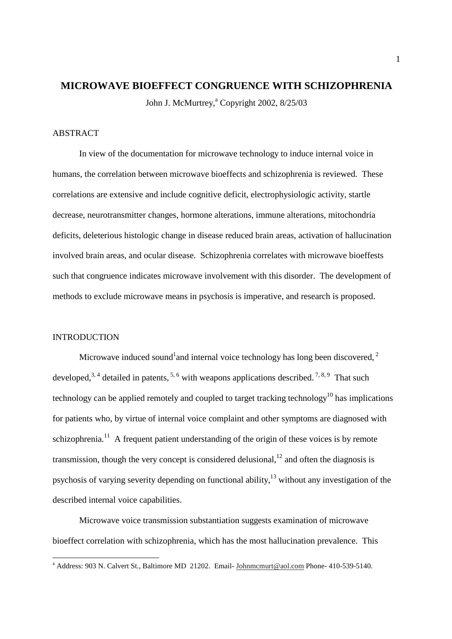# **MICROWAVE BIOEFFECT CONGRUENCE WITH SCHIZOPHRENIA**

John J. McMurtrey,<sup>a</sup> Copyright 2002, 8/25/03

## ABSTRACT

 In view of the documentation for microwave technology to induce internal voice in humans, the correlation between microwave bioeffects and schizophrenia is reviewed. These correlations are extensive and include cognitive deficit, electrophysiologic activity, startle decrease, neurotransmitter changes, hormone alterations, immune alterations, mitochondria deficits, deleterious histologic change in disease reduced brain areas, activation of hallucination involved brain areas, and ocular disease. Schizophrenia correlates with microwave bioeffests such that congruence indicates microwave involvement with this disorder. The development of methods to exclude microwave means in psychosis is imperative, and research is proposed.

## **INTRODUCTION**

Microwave induced sound<sup>1</sup> and internal voice technology has long been discovered,  $2$ developed,  $3, 4$  detailed in patents,  $5, 6$  with weapons applications described.  $7, 8, 9$  That such technology can be applied remotely and coupled to target tracking technology<sup>10</sup> has implications for patients who, by virtue of internal voice complaint and other symptoms are diagnosed with schizophrenia.<sup>11</sup> A frequent patient understanding of the origin of these voices is by remote transmission, though the very concept is considered delusional,<sup>12</sup> and often the diagnosis is psychosis of varying severity depending on functional ability.<sup>13</sup> without any investigation of the described internal voice capabilities.

Microwave voice transmission substantiation suggests examination of microwave bioeffect correlation with schizophrenia, which has the most hallucination prevalence. This

a<br>Address: 903 N. Calvert St., Baltimore MD 21202. Email- Johnmcmurt@aol.com Phone- 410-539-5140.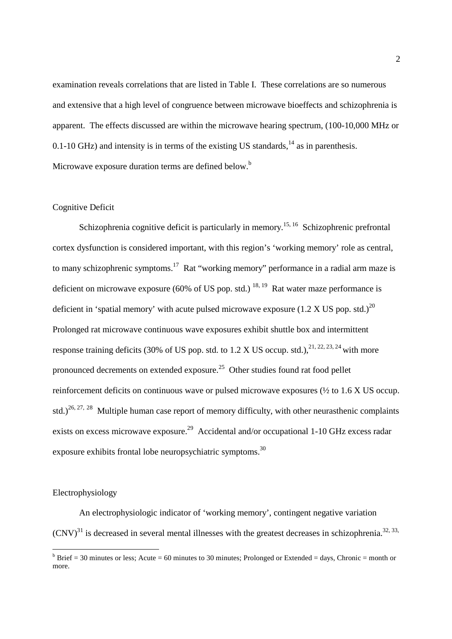examination reveals correlations that are listed in Table I. These correlations are so numerous and extensive that a high level of congruence between microwave bioeffects and schizophrenia is apparent. The effects discussed are within the microwave hearing spectrum, (100-10,000 MHz or 0.1-10 GHz) and intensity is in terms of the existing US standards, $14$  as in parenthesis. Microwave exposure duration terms are defined below.<sup>b</sup>

## Cognitive Deficit

Schizophrenia cognitive deficit is particularly in memory.<sup>15, 16</sup> Schizophrenic prefrontal cortex dysfunction is considered important, with this region's 'working memory' role as central, to many schizophrenic symptoms.<sup>17</sup> Rat "working memory" performance in a radial arm maze is deficient on microwave exposure (60% of US pop. std.)  $^{18, 19}$  Rat water maze performance is deficient in 'spatial memory' with acute pulsed microwave exposure  $(1.2 \text{ X US pop. std.})^{20}$ Prolonged rat microwave continuous wave exposures exhibit shuttle box and intermittent response training deficits (30% of US pop. std. to  $1.2$  X US occup. std.),  $2^{1, 22, 23, 24}$  with more pronounced decrements on extended exposure.<sup>25</sup> Other studies found rat food pellet reinforcement deficits on continuous wave or pulsed microwave exposures (½ to 1.6 X US occup. std.)<sup>26, 27, 28</sup> Multiple human case report of memory difficulty, with other neurasthenic complaints exists on excess microwave exposure.<sup>29</sup> Accidental and/or occupational 1-10 GHz excess radar exposure exhibits frontal lobe neuropsychiatric symptoms.<sup>30</sup>

#### Electrophysiology

 An electrophysiologic indicator of 'working memory', contingent negative variation  $(CNV)^{31}$  is decreased in several mental illnesses with the greatest decreases in schizophrenia.<sup>32, 33,</sup>

<sup>&</sup>lt;sup>b</sup> Brief = 30 minutes or less; Acute = 60 minutes to 30 minutes; Prolonged or Extended = days, Chronic = month or more.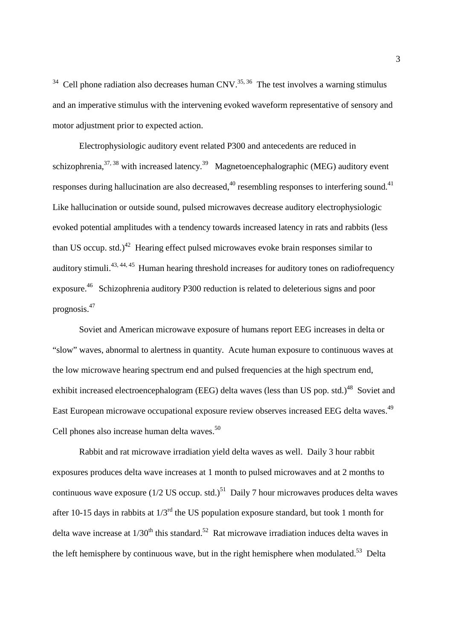$34$  Cell phone radiation also decreases human CNV.<sup>35, 36</sup> The test involves a warning stimulus and an imperative stimulus with the intervening evoked waveform representative of sensory and motor adjustment prior to expected action.

 Electrophysiologic auditory event related P300 and antecedents are reduced in schizophrenia,  $37, 38$  with increased latency.<sup>39</sup> Magnetoencephalographic (MEG) auditory event responses during hallucination are also decreased,  $40$  resembling responses to interfering sound.  $41$ Like hallucination or outside sound, pulsed microwaves decrease auditory electrophysiologic evoked potential amplitudes with a tendency towards increased latency in rats and rabbits (less than US occup. std.)<sup>42</sup> Hearing effect pulsed microwaves evoke brain responses similar to auditory stimuli.43, 44, 45 Human hearing threshold increases for auditory tones on radiofrequency exposure.<sup>46</sup> Schizophrenia auditory P300 reduction is related to deleterious signs and poor prognosis.<sup>47</sup>

Soviet and American microwave exposure of humans report EEG increases in delta or "slow" waves, abnormal to alertness in quantity. Acute human exposure to continuous waves at the low microwave hearing spectrum end and pulsed frequencies at the high spectrum end, exhibit increased electroencephalogram (EEG) delta waves (less than US pop. std.)<sup>48</sup> Soviet and East European microwave occupational exposure review observes increased EEG delta waves.<sup>49</sup> Cell phones also increase human delta waves. $50$ 

Rabbit and rat microwave irradiation yield delta waves as well. Daily 3 hour rabbit exposures produces delta wave increases at 1 month to pulsed microwaves and at 2 months to continuous wave exposure ( $1/2$  US occup. std.)<sup>51</sup> Daily 7 hour microwaves produces delta waves after 10-15 days in rabbits at  $1/3^{rd}$  the US population exposure standard, but took 1 month for delta wave increase at  $1/30<sup>th</sup>$  this standard.<sup>52</sup> Rat microwave irradiation induces delta waves in the left hemisphere by continuous wave, but in the right hemisphere when modulated.<sup>53</sup> Delta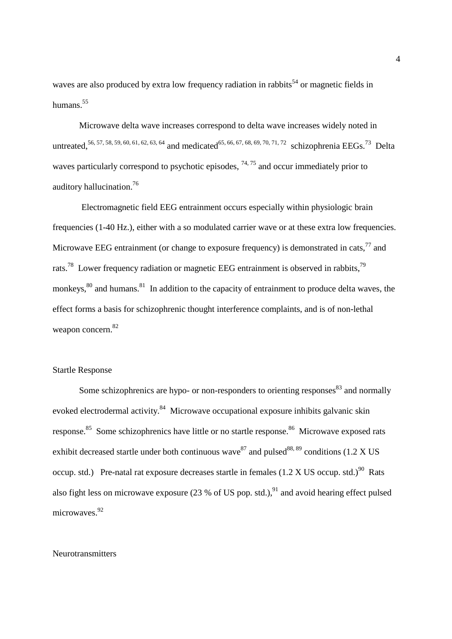waves are also produced by extra low frequency radiation in rabbits<sup>54</sup> or magnetic fields in humans.<sup>55</sup>

 Microwave delta wave increases correspond to delta wave increases widely noted in untreated,<sup>56, 57, 58, 59, 60, 61, 62, 63, 64</sup> and medicated<sup>65, 66, 67, 68, 69, 70, 71, 72</sup> schizophrenia EEGs.<sup>73</sup> Delta waves particularly correspond to psychotic episodes,  $74,75$  and occur immediately prior to auditory hallucination.<sup>76</sup>

 Electromagnetic field EEG entrainment occurs especially within physiologic brain frequencies (1-40 Hz.), either with a so modulated carrier wave or at these extra low frequencies. Microwave EEG entrainment (or change to exposure frequency) is demonstrated in cats,  $^{77}$  and rats.<sup>78</sup> Lower frequency radiation or magnetic EEG entrainment is observed in rabbits,<sup>79</sup> monkeys,  $80$  and humans.  $81$  In addition to the capacity of entrainment to produce delta waves, the effect forms a basis for schizophrenic thought interference complaints, and is of non-lethal weapon concern.<sup>82</sup>

# Startle Response

Some schizophrenics are hypo- or non-responders to orienting responses<sup>83</sup> and normally evoked electrodermal activity.<sup>84</sup> Microwave occupational exposure inhibits galvanic skin response.<sup>85</sup> Some schizophrenics have little or no startle response.<sup>86</sup> Microwave exposed rats exhibit decreased startle under both continuous wave<sup>87</sup> and pulsed<sup>88, 89</sup> conditions (1.2 X US occup. std.) Pre-natal rat exposure decreases startle in females  $(1.2 \text{ X } \text{US}$  occup. std.)<sup>90</sup> Rats also fight less on microwave exposure (23 % of US pop. std.),  $91$  and avoid hearing effect pulsed microwaves.<sup>92</sup>

#### **Neurotransmitters**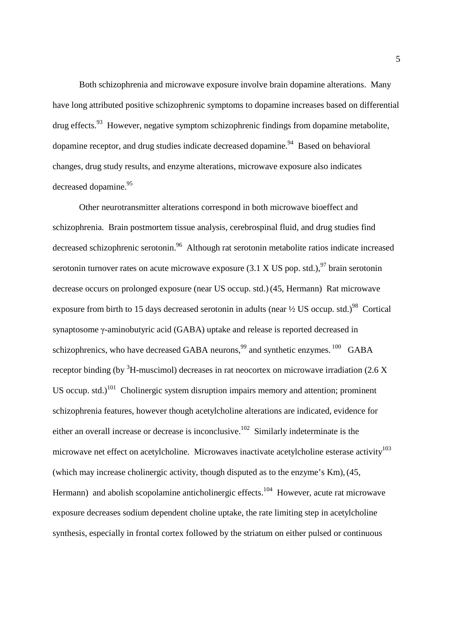Both schizophrenia and microwave exposure involve brain dopamine alterations. Many have long attributed positive schizophrenic symptoms to dopamine increases based on differential  $d\text{rug effects}^{93}$  However, negative symptom schizophrenic findings from dopamine metabolite, dopamine receptor, and drug studies indicate decreased dopamine.<sup>94</sup> Based on behavioral changes, drug study results, and enzyme alterations, microwave exposure also indicates decreased dopamine.<sup>95</sup>

Other neurotransmitter alterations correspond in both microwave bioeffect and schizophrenia. Brain postmortem tissue analysis, cerebrospinal fluid, and drug studies find decreased schizophrenic serotonin.<sup>96</sup> Although rat serotonin metabolite ratios indicate increased serotonin turnover rates on acute microwave exposure  $(3.1 \text{ X } US$  pop. std.), <sup>97</sup> brain serotonin decrease occurs on prolonged exposure (near US occup. std.)(45, Hermann) Rat microwave exposure from birth to 15 days decreased serotonin in adults (near  $\frac{1}{2}$  US occup. std.)<sup>98</sup> Cortical synaptosome γ-aminobutyric acid (GABA) uptake and release is reported decreased in schizophrenics, who have decreased GABA neurons,  $99$  and synthetic enzymes.<sup>100</sup> GABA receptor binding (by  ${}^{3}$ H-muscimol) decreases in rat neocortex on microwave irradiation (2.6 X US occup. std.)<sup>101</sup> Cholinergic system disruption impairs memory and attention; prominent schizophrenia features, however though acetylcholine alterations are indicated, evidence for either an overall increase or decrease is inconclusive.<sup>102</sup> Similarly indeterminate is the microwave net effect on acetylcholine. Microwaves inactivate acetylcholine esterase activity<sup>103</sup> (which may increase cholinergic activity, though disputed as to the enzyme's Km),(45, Hermann) and abolish scopolamine anticholinergic effects.<sup>104</sup> However, acute rat microwave exposure decreases sodium dependent choline uptake, the rate limiting step in acetylcholine synthesis, especially in frontal cortex followed by the striatum on either pulsed or continuous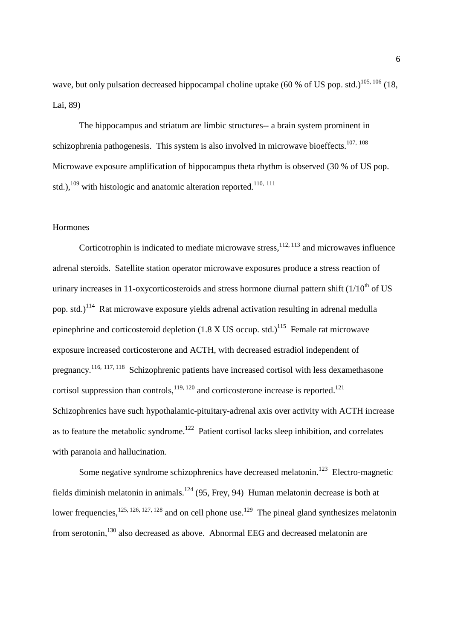wave, but only pulsation decreased hippocampal choline uptake (60 % of US pop. std.)<sup>105, 106</sup> (18, Lai, 89)

The hippocampus and striatum are limbic structures-- a brain system prominent in schizophrenia pathogenesis. This system is also involved in microwave bioeffects.<sup>107, 108</sup> Microwave exposure amplification of hippocampus theta rhythm is observed (30 % of US pop. std.), $^{109}$  with histologic and anatomic alteration reported.<sup>110, 111</sup>

## Hormones

Corticotrophin is indicated to mediate microwave stress,  $12, 113$  and microwaves influence adrenal steroids. Satellite station operator microwave exposures produce a stress reaction of urinary increases in 11-oxycorticosteroids and stress hormone diurnal pattern shift  $(1/10<sup>th</sup>$  of US pop. std.)<sup>114</sup> Rat microwave exposure yields adrenal activation resulting in adrenal medulla epinephrine and corticosteroid depletion  $(1.8 \text{ X US occur})^{115}$  Female rat microwave exposure increased corticosterone and ACTH, with decreased estradiol independent of pregnancy.<sup>116, 117, 118</sup> Schizophrenic patients have increased cortisol with less dexamethasone cortisol suppression than controls,  $119, 120$  and corticosterone increase is reported.<sup>121</sup> Schizophrenics have such hypothalamic-pituitary-adrenal axis over activity with ACTH increase as to feature the metabolic syndrome.<sup>122</sup> Patient cortisol lacks sleep inhibition, and correlates with paranoia and hallucination.

Some negative syndrome schizophrenics have decreased melatonin.<sup>123</sup> Electro-magnetic fields diminish melatonin in animals.<sup>124</sup> (95, Frey, 94) Human melatonin decrease is both at lower frequencies,  $125, 126, 127, 128$  and on cell phone use.<sup>129</sup> The pineal gland synthesizes melatonin from serotonin,<sup>130</sup> also decreased as above. Abnormal EEG and decreased melatonin are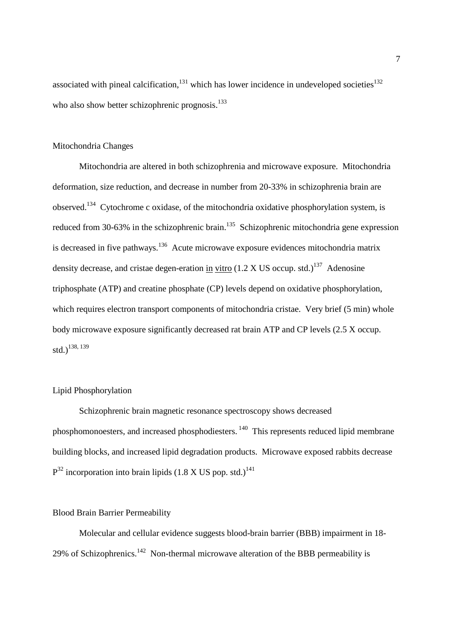associated with pineal calcification, $131$  which has lower incidence in undeveloped societies<sup>132</sup> who also show better schizophrenic prognosis.<sup>133</sup>

## Mitochondria Changes

 Mitochondria are altered in both schizophrenia and microwave exposure. Mitochondria deformation, size reduction, and decrease in number from 20-33% in schizophrenia brain are observed.<sup>134</sup> Cytochrome c oxidase, of the mitochondria oxidative phosphorylation system, is reduced from 30-63% in the schizophrenic brain.<sup>135</sup> Schizophrenic mitochondria gene expression is decreased in five pathways.<sup>136</sup> Acute microwave exposure evidences mitochondria matrix density decrease, and cristae degen-eration in vitro  $(1.2 \text{ X } \text{US } \text{occup. std.})^{137}$  Adenosine triphosphate (ATP) and creatine phosphate (CP) levels depend on oxidative phosphorylation, which requires electron transport components of mitochondria cristae. Very brief (5 min) whole body microwave exposure significantly decreased rat brain ATP and CP levels (2.5 X occup.  $\mathrm{std.})^{138, 139}$ 

#### Lipid Phosphorylation

Schizophrenic brain magnetic resonance spectroscopy shows decreased phosphomonoesters, and increased phosphodiesters.<sup>140</sup> This represents reduced lipid membrane building blocks, and increased lipid degradation products. Microwave exposed rabbits decrease  $P^{32}$  incorporation into brain lipids (1.8 X US pop. std.)<sup>141</sup>

#### Blood Brain Barrier Permeability

Molecular and cellular evidence suggests blood-brain barrier (BBB) impairment in 18- 29% of Schizophrenics.<sup>142</sup> Non-thermal microwave alteration of the BBB permeability is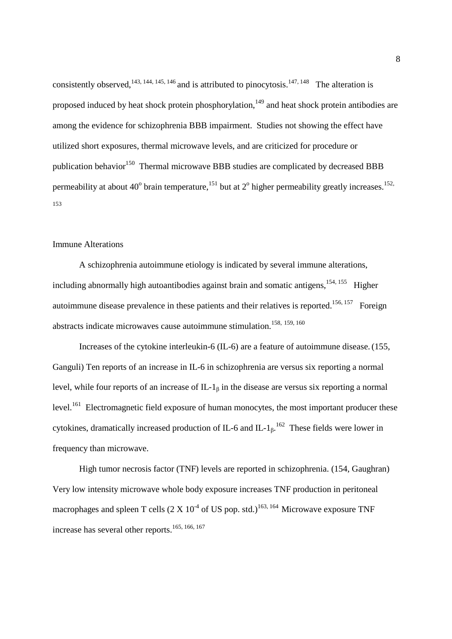consistently observed,<sup>143, 144, 145, 146</sup> and is attributed to pinocytosis.<sup>147, 148</sup> The alteration is proposed induced by heat shock protein phosphorylation,<sup>149</sup> and heat shock protein antibodies are among the evidence for schizophrenia BBB impairment. Studies not showing the effect have utilized short exposures, thermal microwave levels, and are criticized for procedure or publication behavior<sup>150</sup> Thermal microwave BBB studies are complicated by decreased BBB permeability at about 40<sup>°</sup> brain temperature, <sup>151</sup> but at 2<sup>°</sup> higher permeability greatly increases. <sup>152,</sup> 153

#### Immune Alterations

 A schizophrenia autoimmune etiology is indicated by several immune alterations, including abnormally high autoantibodies against brain and somatic antigens,  $154, 155$  Higher autoimmune disease prevalence in these patients and their relatives is reported.<sup>156, 157</sup> Foreign abstracts indicate microwaves cause autoimmune stimulation.<sup>158, 159, 160</sup>

 Increases of the cytokine interleukin-6 (IL-6) are a feature of autoimmune disease.(155, Ganguli) Ten reports of an increase in IL-6 in schizophrenia are versus six reporting a normal level, while four reports of an increase of  $IL-1<sub>β</sub>$  in the disease are versus six reporting a normal level.<sup>161</sup> Electromagnetic field exposure of human monocytes, the most important producer these cytokines, dramatically increased production of IL-6 and IL- $1_{\beta}$ .<sup>162</sup> These fields were lower in frequency than microwave.

High tumor necrosis factor (TNF) levels are reported in schizophrenia. (154, Gaughran) Very low intensity microwave whole body exposure increases TNF production in peritoneal macrophages and spleen T cells  $(2 \times 10^{-4} \text{ of US pop. std.})^{163, 164}$  Microwave exposure TNF increase has several other reports.<sup>165, 166, 167</sup>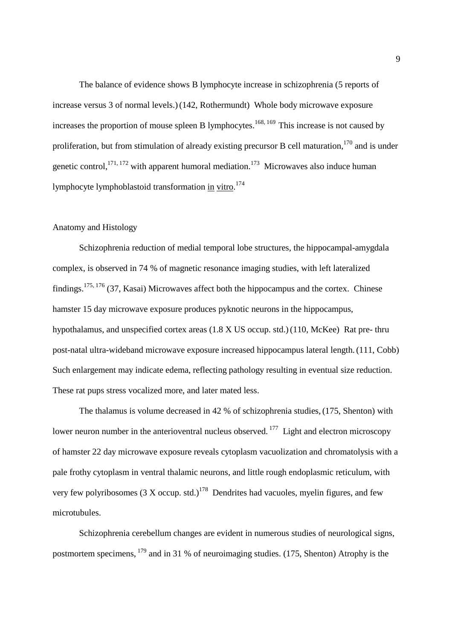The balance of evidence shows B lymphocyte increase in schizophrenia (5 reports of increase versus 3 of normal levels.)(142, Rothermundt) Whole body microwave exposure increases the proportion of mouse spleen B lymphocytes.<sup>168, 169</sup> This increase is not caused by proliferation, but from stimulation of already existing precursor B cell maturation,  $170$  and is under genetic control,  $^{171, 172}$  with apparent humoral mediation.<sup>173</sup> Microwaves also induce human lymphocyte lymphoblastoid transformation in vitro.<sup>174</sup>

## Anatomy and Histology

 Schizophrenia reduction of medial temporal lobe structures, the hippocampal-amygdala complex, is observed in 74 % of magnetic resonance imaging studies, with left lateralized findings.<sup>175, 176</sup> (37, Kasai) Microwaves affect both the hippocampus and the cortex. Chinese hamster 15 day microwave exposure produces pyknotic neurons in the hippocampus, hypothalamus, and unspecified cortex areas (1.8 X US occup. std.)(110, McKee) Rat pre- thru post-natal ultra-wideband microwave exposure increased hippocampus lateral length.(111, Cobb) Such enlargement may indicate edema, reflecting pathology resulting in eventual size reduction. These rat pups stress vocalized more, and later mated less.

 The thalamus is volume decreased in 42 % of schizophrenia studies,(175, Shenton) with lower neuron number in the anterioventral nucleus observed.<sup>177</sup> Light and electron microscopy of hamster 22 day microwave exposure reveals cytoplasm vacuolization and chromatolysis with a pale frothy cytoplasm in ventral thalamic neurons, and little rough endoplasmic reticulum, with very few polyribosomes  $(3 \text{ X occup. std.})^{178}$  Dendrites had vacuoles, myelin figures, and few microtubules.

 Schizophrenia cerebellum changes are evident in numerous studies of neurological signs, postmortem specimens,  $179$  and in 31 % of neuroimaging studies. (175, Shenton) Atrophy is the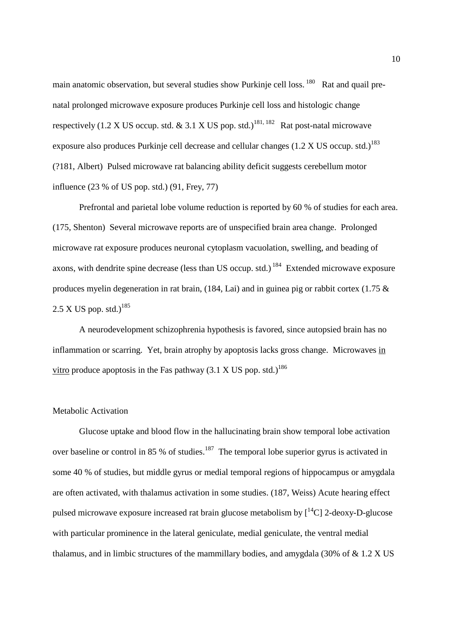main anatomic observation, but several studies show Purkinje cell loss.<sup>180</sup> Rat and quail prenatal prolonged microwave exposure produces Purkinje cell loss and histologic change respectively (1.2 X US occup. std.  $\&$  3.1 X US pop. std.)<sup>181, 182</sup> Rat post-natal microwave exposure also produces Purkinje cell decrease and cellular changes  $(1.2 \text{ X US occur. std.})^{183}$ (?181, Albert) Pulsed microwave rat balancing ability deficit suggests cerebellum motor influence (23 % of US pop. std.) (91, Frey, 77)

Prefrontal and parietal lobe volume reduction is reported by 60 % of studies for each area. (175, Shenton) Several microwave reports are of unspecified brain area change. Prolonged microwave rat exposure produces neuronal cytoplasm vacuolation, swelling, and beading of axons, with dendrite spine decrease (less than US occup. std.)<sup>184</sup> Extended microwave exposure produces myelin degeneration in rat brain, (184, Lai) and in guinea pig or rabbit cortex (1.75 &  $2.5$  X US pop. std.)<sup>185</sup>

A neurodevelopment schizophrenia hypothesis is favored, since autopsied brain has no inflammation or scarring. Yet, brain atrophy by apoptosis lacks gross change. Microwaves in vitro produce apoptosis in the Fas pathway  $(3.1 \times US)$  pop. std.)<sup>186</sup>

#### Metabolic Activation

Glucose uptake and blood flow in the hallucinating brain show temporal lobe activation over baseline or control in 85 % of studies.<sup>187</sup> The temporal lobe superior gyrus is activated in some 40 % of studies, but middle gyrus or medial temporal regions of hippocampus or amygdala are often activated, with thalamus activation in some studies. (187, Weiss) Acute hearing effect pulsed microwave exposure increased rat brain glucose metabolism by  $\int_1^{14}$ Cl 2-deoxy-D-glucose with particular prominence in the lateral geniculate, medial geniculate, the ventral medial thalamus, and in limbic structures of the mammillary bodies, and amygdala  $(30\% \text{ of } \& 1.2 \text{ X } \text{US})$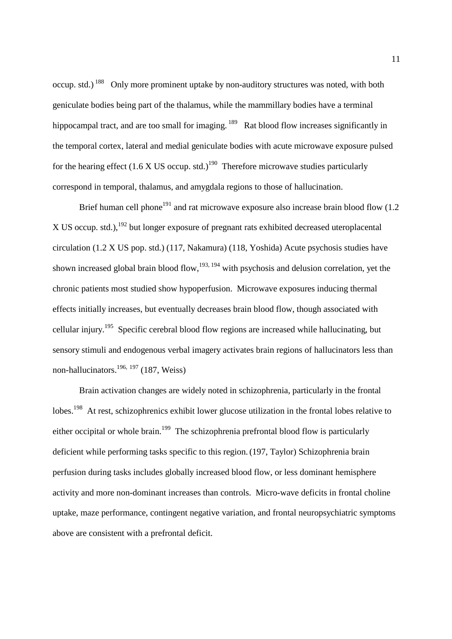occup. std.)<sup>188</sup> Only more prominent uptake by non-auditory structures was noted, with both geniculate bodies being part of the thalamus, while the mammillary bodies have a terminal hippocampal tract, and are too small for imaging.<sup>189</sup> Rat blood flow increases significantly in the temporal cortex, lateral and medial geniculate bodies with acute microwave exposure pulsed for the hearing effect (1.6 X US occup. std.)<sup>190</sup> Therefore microwave studies particularly correspond in temporal, thalamus, and amygdala regions to those of hallucination.

Brief human cell phone<sup>191</sup> and rat microwave exposure also increase brain blood flow  $(1.2)$ X US occup. std.),  $192$  but longer exposure of pregnant rats exhibited decreased uteroplacental circulation (1.2 X US pop. std.) (117, Nakamura) (118, Yoshida) Acute psychosis studies have shown increased global brain blood flow,  $193, 194$  with psychosis and delusion correlation, yet the chronic patients most studied show hypoperfusion. Microwave exposures inducing thermal effects initially increases, but eventually decreases brain blood flow, though associated with cellular injury.<sup>195</sup> Specific cerebral blood flow regions are increased while hallucinating, but sensory stimuli and endogenous verbal imagery activates brain regions of hallucinators less than non-hallucinators.<sup>196, 197</sup> (187, Weiss)

Brain activation changes are widely noted in schizophrenia, particularly in the frontal lobes.<sup>198</sup> At rest, schizophrenics exhibit lower glucose utilization in the frontal lobes relative to either occipital or whole brain.<sup>199</sup> The schizophrenia prefrontal blood flow is particularly deficient while performing tasks specific to this region.(197, Taylor) Schizophrenia brain perfusion during tasks includes globally increased blood flow, or less dominant hemisphere activity and more non-dominant increases than controls. Micro-wave deficits in frontal choline uptake, maze performance, contingent negative variation, and frontal neuropsychiatric symptoms above are consistent with a prefrontal deficit.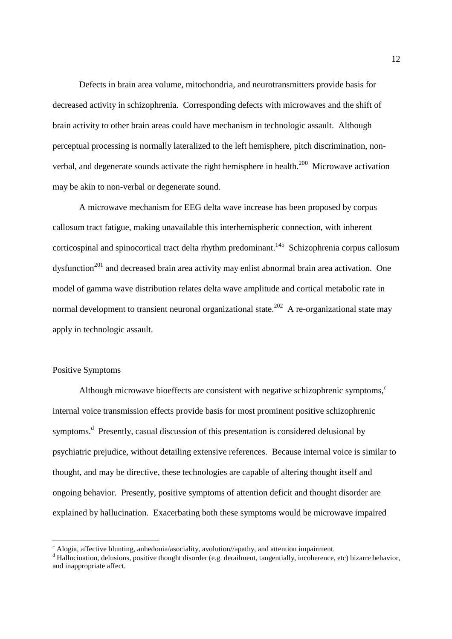Defects in brain area volume, mitochondria, and neurotransmitters provide basis for decreased activity in schizophrenia. Corresponding defects with microwaves and the shift of brain activity to other brain areas could have mechanism in technologic assault. Although perceptual processing is normally lateralized to the left hemisphere, pitch discrimination, nonverbal, and degenerate sounds activate the right hemisphere in health.<sup>200</sup> Microwave activation may be akin to non-verbal or degenerate sound.

A microwave mechanism for EEG delta wave increase has been proposed by corpus callosum tract fatigue, making unavailable this interhemispheric connection, with inherent corticospinal and spinocortical tract delta rhythm predominant.<sup>145</sup> Schizophrenia corpus callosum dysfunction<sup>201</sup> and decreased brain area activity may enlist abnormal brain area activation. One model of gamma wave distribution relates delta wave amplitude and cortical metabolic rate in normal development to transient neuronal organizational state.<sup>202</sup> A re-organizational state may apply in technologic assault.

# Positive Symptoms

Although microwave bioeffects are consistent with negative schizophrenic symptoms, $\epsilon$ internal voice transmission effects provide basis for most prominent positive schizophrenic symptoms.<sup>d</sup> Presently, casual discussion of this presentation is considered delusional by psychiatric prejudice, without detailing extensive references. Because internal voice is similar to thought, and may be directive, these technologies are capable of altering thought itself and ongoing behavior. Presently, positive symptoms of attention deficit and thought disorder are explained by hallucination. Exacerbating both these symptoms would be microwave impaired

c<br>
C Alogia, affective blunting, anhedonia/asociality, avolution//apathy, and attention impairment.

<sup>&</sup>lt;sup>d</sup> Hallucination, delusions, positive thought disorder (e.g. derailment, tangentially, incoherence, etc) bizarre behavior, and inappropriate affect.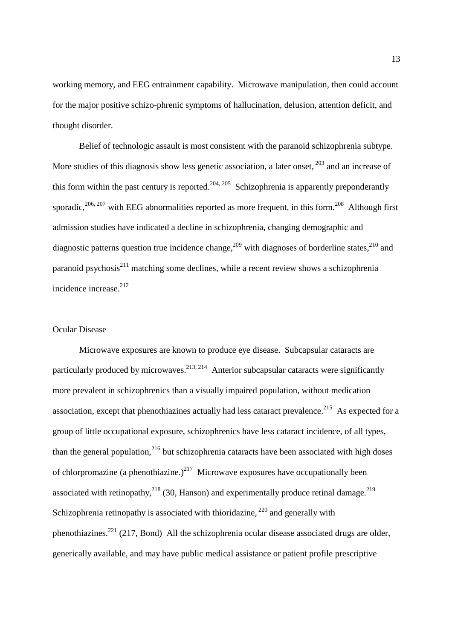working memory, and EEG entrainment capability. Microwave manipulation, then could account for the major positive schizo-phrenic symptoms of hallucination, delusion, attention deficit, and thought disorder.

Belief of technologic assault is most consistent with the paranoid schizophrenia subtype. More studies of this diagnosis show less genetic association, a later onset,  $203$  and an increase of this form within the past century is reported.<sup>204, 205</sup> Schizophrenia is apparently preponderantly sporadic,  $206, 207$  with EEG abnormalities reported as more frequent, in this form.  $208$  Although first admission studies have indicated a decline in schizophrenia, changing demographic and diagnostic patterns question true incidence change,<sup>209</sup> with diagnoses of borderline states,<sup>210</sup> and paranoid psychosis $^{211}$  matching some declines, while a recent review shows a schizophrenia incidence increase.<sup>212</sup>

## Ocular Disease

Microwave exposures are known to produce eye disease. Subcapsular cataracts are particularly produced by microwaves.<sup>213, 214</sup> Anterior subcapsular cataracts were significantly more prevalent in schizophrenics than a visually impaired population, without medication association, except that phenothiazines actually had less cataract prevalence.<sup>215</sup> As expected for a group of little occupational exposure, schizophrenics have less cataract incidence, of all types, than the general population, $216$  but schizophrenia cataracts have been associated with high doses of chlorpromazine (a phenothiazine.)<sup>217</sup> Microwave exposures have occupationally been associated with retinopathy,  $2^{18}$  (30, Hanson) and experimentally produce retinal damage.  $2^{19}$ Schizophrenia retinopathy is associated with thioridazine,  $^{220}$  and generally with phenothiazines.<sup>221</sup> (217, Bond) All the schizophrenia ocular disease associated drugs are older, generically available, and may have public medical assistance or patient profile prescriptive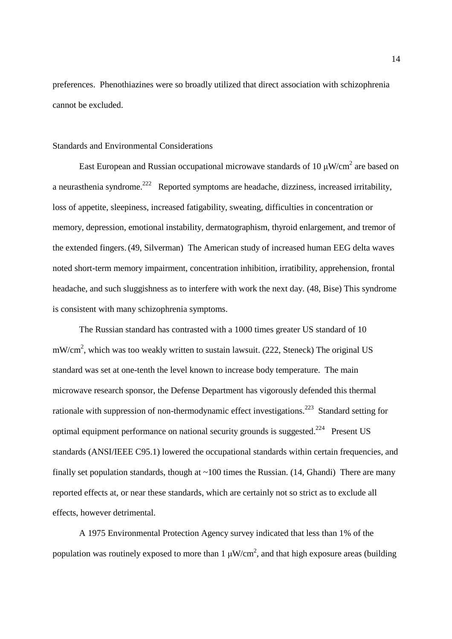preferences. Phenothiazines were so broadly utilized that direct association with schizophrenia cannot be excluded.

## Standards and Environmental Considerations

East European and Russian occupational microwave standards of 10  $\mu$ W/cm<sup>2</sup> are based on a neurasthenia syndrome.<sup>222</sup> Reported symptoms are headache, dizziness, increased irritability, loss of appetite, sleepiness, increased fatigability, sweating, difficulties in concentration or memory, depression, emotional instability, dermatographism, thyroid enlargement, and tremor of the extended fingers.(49, Silverman) The American study of increased human EEG delta waves noted short-term memory impairment, concentration inhibition, irratibility, apprehension, frontal headache, and such sluggishness as to interfere with work the next day. (48, Bise) This syndrome is consistent with many schizophrenia symptoms.

The Russian standard has contrasted with a 1000 times greater US standard of 10  $mW/cm<sup>2</sup>$ , which was too weakly written to sustain lawsuit. (222, Steneck) The original US standard was set at one-tenth the level known to increase body temperature. The main microwave research sponsor, the Defense Department has vigorously defended this thermal rationale with suppression of non-thermodynamic effect investigations.<sup>223</sup> Standard setting for optimal equipment performance on national security grounds is suggested.<sup>224</sup> Present US standards (ANSI/IEEE C95.1) lowered the occupational standards within certain frequencies, and finally set population standards, though at  $\sim$ 100 times the Russian. (14, Ghandi) There are many reported effects at, or near these standards, which are certainly not so strict as to exclude all effects, however detrimental.

A 1975 Environmental Protection Agency survey indicated that less than 1% of the population was routinely exposed to more than 1  $\mu$ W/cm<sup>2</sup>, and that high exposure areas (building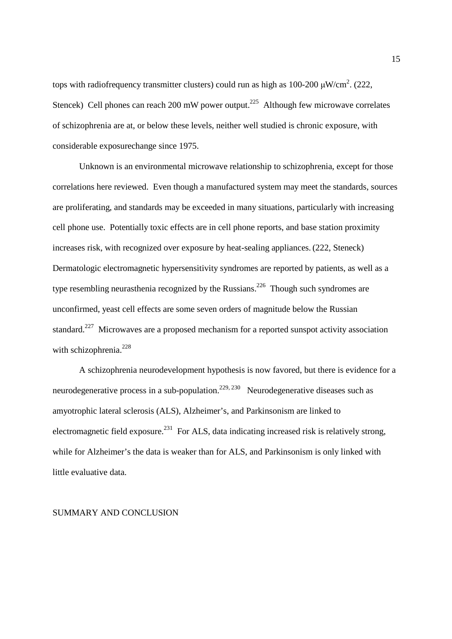tops with radiofrequency transmitter clusters) could run as high as 100-200  $\mu$ W/cm<sup>2</sup>. (222, Stencek) Cell phones can reach 200 mW power output.<sup>225</sup> Although few microwave correlates of schizophrenia are at, or below these levels, neither well studied is chronic exposure, with considerable exposurechange since 1975.

Unknown is an environmental microwave relationship to schizophrenia, except for those correlations here reviewed. Even though a manufactured system may meet the standards, sources are proliferating, and standards may be exceeded in many situations, particularly with increasing cell phone use. Potentially toxic effects are in cell phone reports, and base station proximity increases risk, with recognized over exposure by heat-sealing appliances.(222, Steneck) Dermatologic electromagnetic hypersensitivity syndromes are reported by patients, as well as a type resembling neurasthenia recognized by the Russians.<sup>226</sup> Though such syndromes are unconfirmed, yeast cell effects are some seven orders of magnitude below the Russian standard.<sup>227</sup> Microwaves are a proposed mechanism for a reported sunspot activity association with schizophrenia.<sup>228</sup>

A schizophrenia neurodevelopment hypothesis is now favored, but there is evidence for a neurodegenerative process in a sub-population.<sup>229, 230</sup> Neurodegenerative diseases such as amyotrophic lateral sclerosis (ALS), Alzheimer's, and Parkinsonism are linked to electromagnetic field exposure.<sup>231</sup> For ALS, data indicating increased risk is relatively strong, while for Alzheimer's the data is weaker than for ALS, and Parkinsonism is only linked with little evaluative data.

#### SUMMARY AND CONCLUSION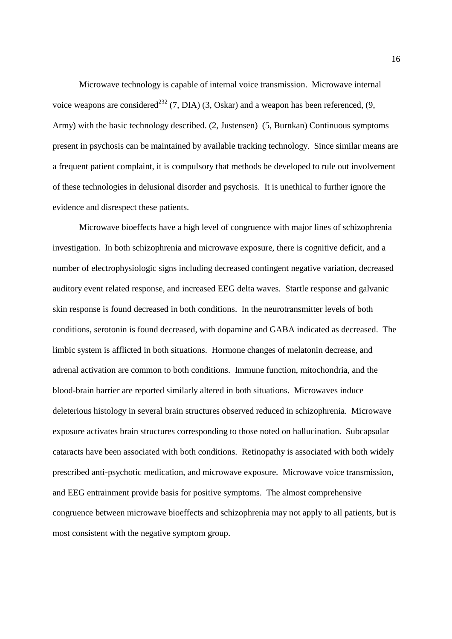Microwave technology is capable of internal voice transmission. Microwave internal voice weapons are considered<sup>232</sup> (7, DIA) (3, Oskar) and a weapon has been referenced, (9, Army) with the basic technology described. (2, Justensen) (5, Burnkan) Continuous symptoms present in psychosis can be maintained by available tracking technology. Since similar means are a frequent patient complaint, it is compulsory that methods be developed to rule out involvement of these technologies in delusional disorder and psychosis. It is unethical to further ignore the evidence and disrespect these patients.

Microwave bioeffects have a high level of congruence with major lines of schizophrenia investigation. In both schizophrenia and microwave exposure, there is cognitive deficit, and a number of electrophysiologic signs including decreased contingent negative variation, decreased auditory event related response, and increased EEG delta waves. Startle response and galvanic skin response is found decreased in both conditions. In the neurotransmitter levels of both conditions, serotonin is found decreased, with dopamine and GABA indicated as decreased. The limbic system is afflicted in both situations. Hormone changes of melatonin decrease, and adrenal activation are common to both conditions. Immune function, mitochondria, and the blood-brain barrier are reported similarly altered in both situations. Microwaves induce deleterious histology in several brain structures observed reduced in schizophrenia. Microwave exposure activates brain structures corresponding to those noted on hallucination. Subcapsular cataracts have been associated with both conditions. Retinopathy is associated with both widely prescribed anti-psychotic medication, and microwave exposure. Microwave voice transmission, and EEG entrainment provide basis for positive symptoms. The almost comprehensive congruence between microwave bioeffects and schizophrenia may not apply to all patients, but is most consistent with the negative symptom group.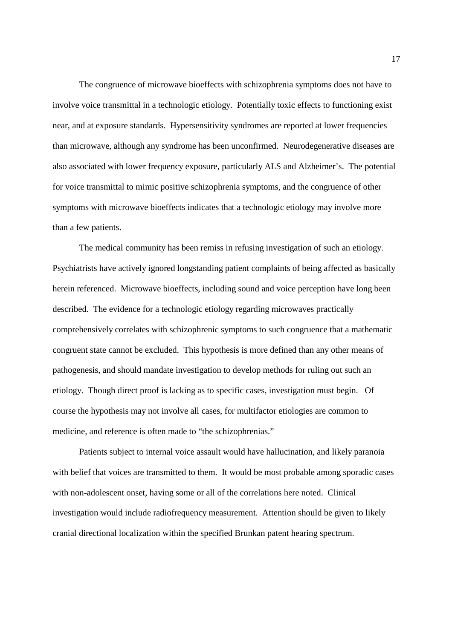The congruence of microwave bioeffects with schizophrenia symptoms does not have to involve voice transmittal in a technologic etiology. Potentially toxic effects to functioning exist near, and at exposure standards. Hypersensitivity syndromes are reported at lower frequencies than microwave, although any syndrome has been unconfirmed. Neurodegenerative diseases are also associated with lower frequency exposure, particularly ALS and Alzheimer's. The potential for voice transmittal to mimic positive schizophrenia symptoms, and the congruence of other symptoms with microwave bioeffects indicates that a technologic etiology may involve more than a few patients.

The medical community has been remiss in refusing investigation of such an etiology. Psychiatrists have actively ignored longstanding patient complaints of being affected as basically herein referenced. Microwave bioeffects, including sound and voice perception have long been described. The evidence for a technologic etiology regarding microwaves practically comprehensively correlates with schizophrenic symptoms to such congruence that a mathematic congruent state cannot be excluded. This hypothesis is more defined than any other means of pathogenesis, and should mandate investigation to develop methods for ruling out such an etiology. Though direct proof is lacking as to specific cases, investigation must begin. Of course the hypothesis may not involve all cases, for multifactor etiologies are common to medicine, and reference is often made to "the schizophrenias."

 Patients subject to internal voice assault would have hallucination, and likely paranoia with belief that voices are transmitted to them. It would be most probable among sporadic cases with non-adolescent onset, having some or all of the correlations here noted. Clinical investigation would include radiofrequency measurement. Attention should be given to likely cranial directional localization within the specified Brunkan patent hearing spectrum.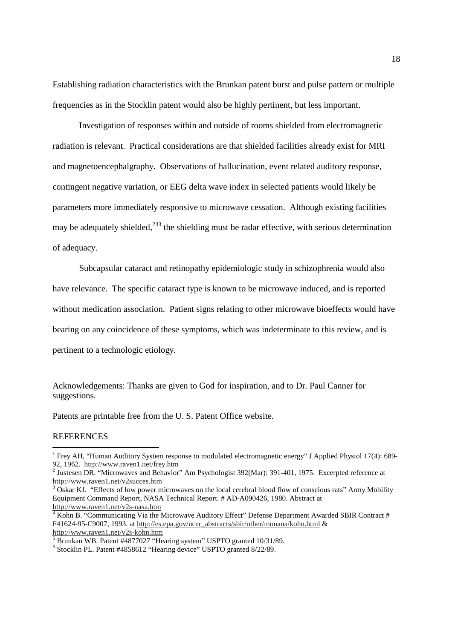Establishing radiation characteristics with the Brunkan patent burst and pulse pattern or multiple frequencies as in the Stocklin patent would also be highly pertinent, but less important.

Investigation of responses within and outside of rooms shielded from electromagnetic radiation is relevant. Practical considerations are that shielded facilities already exist for MRI and magnetoencephalgraphy. Observations of hallucination, event related auditory response, contingent negative variation, or EEG delta wave index in selected patients would likely be parameters more immediately responsive to microwave cessation. Although existing facilities may be adequately shielded, $^{233}$  the shielding must be radar effective, with serious determination of adequacy.

Subcapsular cataract and retinopathy epidemiologic study in schizophrenia would also have relevance. The specific cataract type is known to be microwave induced, and is reported without medication association. Patient signs relating to other microwave bioeffects would have bearing on any coincidence of these symptoms, which was indeterminate to this review, and is pertinent to a technologic etiology.

Acknowledgements: Thanks are given to God for inspiration, and to Dr. Paul Canner for suggestions.

Patents are printable free from the U. S. Patent Office website.

#### **REFERENCES**

l

<sup>&</sup>lt;sup>1</sup> Frey AH, "Human Auditory System response to modulated electromagnetic energy" J Applied Physiol 17(4): 689-92, 1962. http://www.raven1.net/frey.htm

<sup>&</sup>lt;sup>2</sup> Justesen DR. "Microwaves and Behavior" Am Psychologist 392(Mar): 391-401, 1975. Excerpted reference at

http://www.raven1.net/v2succes.htm<br><sup>3</sup> Oskar KJ. "Effects of low power microwaves on the local cerebral blood flow of conscious rats" Army Mobility Equipment Command Report, NASA Technical Report. # AD-A090426, 1980. Abstract at http://www.raven1.net/v2s-nasa.htm

<sup>&</sup>lt;sup>4</sup> Kohn B. "Communicating Via the Microwave Auditory Effect" Defense Department Awarded SBIR Contract # F41624-95-C9007, 1993. at http://es.epa.gov/ncer\_abstracts/sbir/other/monana/kohn.html & http://www.raven1.net/v2s-kohn.htm

<sup>&</sup>lt;sup>5</sup> Brunkan WB. Patent #4877027 "Hearing system" USPTO granted 10/31/89.

<sup>6</sup> Stocklin PL. Patent #4858612 "Hearing device" USPTO granted 8/22/89.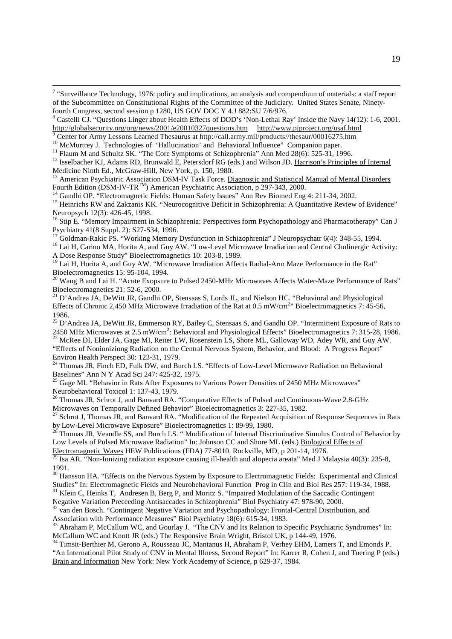<sup>&</sup>lt;sup>7</sup> "Surveillance Technology, 1976: policy and implications, an analysis and compendium of materials: a staff report of the Subcommittee on Constitutional Rights of the Committee of the Judiciary. United States Senate, Ninetyfourth Congress, second session p 1280, US GOV DOC Y 4.J 882:SU 7/6/976.

<sup>&</sup>lt;sup>8</sup> Castelli CJ. "Questions Linger about Health Effects of DOD's 'Non-Lethal Ray' Inside the Navy 14(12): 1-6, 2001. http://globalsecurity.org/org/news/2001/e20010327questions.htm http://www.pjproject.org/usaf.html

<sup>&</sup>lt;sup>9</sup> Center for Army Lessons Learned Thesaurus at http://call.army.mil/products//thesaur/00016275.htm

<sup>&</sup>lt;sup>10</sup> McMurtrey J. Technologies of 'Hallucination' and Behavioral Influence'' Companion paper.

<sup>&</sup>lt;sup>11</sup> Flaum M and Schultz SK. "The Core Symptoms of Schizophrenia" Ann Med 28(6): 525-31, 1996.

<sup>&</sup>lt;sup>12</sup> Isselbacher KJ, Adams RD, Brunwald E, Petersdorf RG (eds.) and Wilson JD. Harrison's Principles of Internal Medicine Ninth Ed., McGraw-Hill, New York, p. 150, 1980.

<sup>13</sup> American Psychiatric Association DSM-IV Task Force. Diagnostic and Statistical Manual of Mental Disorders Fourth Edition (DSM-IV-TR<sup>TM</sup>) American Psychiatric Association, p 297-343, 2000.

<sup>&</sup>lt;sup>14</sup> Gandhi OP. "Electromagnetic Fields: Human Safety Issues" Ann Rev Biomed Eng 4: 211-34, 2002.

<sup>&</sup>lt;sup>15</sup> Heinrichs RW and Zakzanis KK. "Neurocognitive Deficit in Schizophrenia: A Quantitative Review of Evidence" Neuropsych 12(3): 426-45, 1998.

<sup>&</sup>lt;sup>16</sup> Stip E. "Memory Impairment in Schizophrenia: Perspectives form Psychopathology and Pharmacotherapy" Can J Psychiatry 41(8 Suppl. 2): S27-S34, 1996.

<sup>17</sup> Goldman-Rakic PS. "Working Memory Dysfunction in Schizophrenia" J Neuropsychatr 6(4): 348-55, 1994. <sup>18</sup> Lai H, Carino MA, Horita A, and Guy AW. "Low-Level Microwave Irradiation and Central Cholinergic Activity:

A Dose Response Study" Bioelectromagnetics 10: 203-8, 1989.

<sup>&</sup>lt;sup>19</sup> Lai H, Horita A, and Guy AW. "Microwave Irradiation Affects Radial-Arm Maze Performance in the Rat" Bioelectromagnetics 15: 95-104, 1994.

<sup>&</sup>lt;sup>20</sup> Wang B and Lai H. "Acute Exopsure to Pulsed 2450-MHz Microwaves Affects Water-Maze Performance of Rats" Bioelectromagnetics 21: 52-6, 2000.

 $21$  D'Andrea JA, DeWitt JR, Gandhi OP, Stensaas S, Lords JL, and Nielson HC. "Behavioral and Physiological Effects of Chronic 2,450 MHz Microwave Irradiation of the Rat at  $0.5 \text{ mW/cm}^{2}$  Bioelectromagnetics 7: 45-56, 1986.

<sup>&</sup>lt;sup>22</sup> D'Andrea JA, DeWitt JR, Emmerson RY, Bailey C, Stensaas S, and Gandhi OP. "Intermittent Exposure of Rats to 2450 MHz Microwaves at 2.5 mW/cm<sup>2</sup>: Behavioral and Physiological Effects" Bioelectromagnetics 7: 315-28, 1986. <sup>23</sup> McRee DI, Elder JA, Gage MI, Reiter LW, Rosenstein LS, Shore ML, Galloway WD, Adey WR, and Guy AW.

<sup>&</sup>quot;Effects of Nonioniziong Radiation on the Central Nervous System, Behavior, and Blood: A Progress Report" Environ Health Perspect 30: 123-31, 1979.

<sup>&</sup>lt;sup>24</sup> Thomas JR, Finch ED, Fulk DW, and Burch LS. "Effects of Low-Level Microwave Radiation on Behavioral Baselines" Ann N Y Acad Sci 247: 425-32, 1975.

<sup>&</sup>lt;sup>25</sup> Gage MI. "Behavior in Rats After Exposures to Various Power Densities of 2450 MHz Microwaves" Neurobehavioral Toxicol 1: 137-43, 1979.

<sup>&</sup>lt;sup>26</sup> Thomas JR, Schrot J, and Banvard RA. "Comparative Effects of Pulsed and Continuous-Wave 2.8-GHz Microwaves on Temporally Defined Behavior" Bioelectromagnetics 3: 227-35, 1982.

<sup>&</sup>lt;sup>27</sup> Schrot J, Thomas JR, and Banvard RA. "Modification of the Repeated Acquisition of Response Sequences in Rats by Low-Level Microwave Exposure" Bioelectromagnetics 1: 89-99, 1980.

<sup>&</sup>lt;sup>28</sup> Thomas JR, Veandle SS, and Burch LS. "Modification of Internal Discriminative Simulus Control of Behavior by Low Levels of Pulsed Microwave Radiation" In: Johnson CC and Shore ML (eds.) Biological Effects of

Electromagnetic Waves HEW Publications (FDA) 77-8010, Rockville, MD, p 201-14, 1976.

<sup>29</sup> Isa AR. "Non-Ionizing radiation exposure causing ill-health and alopecia areata" Med J Malaysia 40(3): 235-8, 1991.

<sup>&</sup>lt;sup>30</sup> Hansson HA. "Effects on the Nervous System by Exposure to Electromagnetic Fields: Experimental and Clinical Studies" In: Electromagnetic Fields and Neurobehavioral Function Prog in Clin and Biol Res 257: 119-34, 1988.

<sup>&</sup>lt;sup>31</sup> Klein C, Heinks T, Andresen B, Berg P, and Moritz S. "Impaired Modulation of the Saccadic Contingent

Negative Variation Preceeding Antisaccades in Schizophrenia" Biol Psychiatry 47: 978-90, 2000.

<sup>&</sup>lt;sup>32</sup> van den Bosch. "Contingent Negative Variation and Psychopathology: Frontal-Central Distribution, and Association with Performance Measures" Biol Psychiatry 18(6): 615-34, 1983.

<sup>&</sup>lt;sup>33</sup> Abraham P, McCallum WC, and Gourlay J. "The CNV and Its Relation to Specific Psychiatric Syndromes" In: McCallum WC and Knott JR (eds.) The Responsive Brain Wright, Bristol UK, p 144-49, 1976.

<sup>&</sup>lt;sup>34</sup> Timsit-Berthier M, Gerono A, Rousseau JC, Mantanus H, Abraham P, Verhey EHM, Lamers T, and Emonds P. "An International Pilot Study of CNV in Mental Illness, Second Report" In: Karrer R, Cohen J, and Tuering P (eds.) Brain and Information New York: New York Academy of Science, p 629-37, 1984.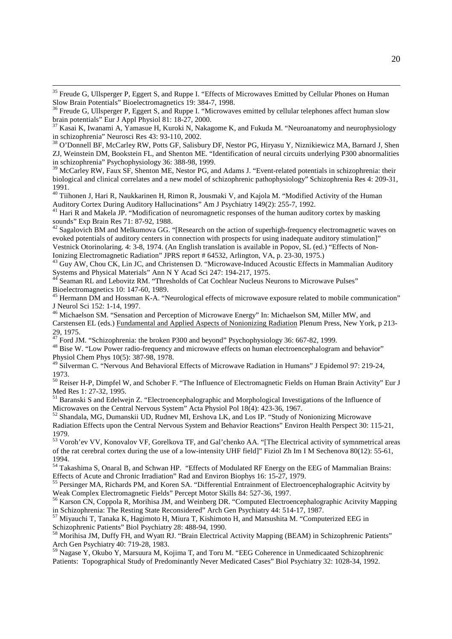<sup>35</sup> Freude G, Ullsperger P, Eggert S, and Ruppe I. "Effects of Microwaves Emitted by Cellular Phones on Human Slow Brain Potentials" Bioelectromagnetics 19: 384-7, 1998.

l

 $37$  Kasai K, Iwanami A, Yamasue H, Kuroki N, Nakagome K, and Fukuda M. "Neuroanatomy and neurophysiology in schizophrenia" Neurosci Res 43: 93-110, 2002.

<sup>38</sup> O'Donnell BF, McCarley RW, Potts GF, Salisbury DF, Nestor PG, Hiryasu Y, Niznikiewicz MA, Barnard J, Shen ZJ, Weinstein DM, Bookstein FL, and Shenton ME. "Identification of neural circuits underlying P300 abnormalities in schizophrenia" Psychophysiology 36: 388-98, 1999.

<sup>39</sup> McCarley RW, Faux SF, Shenton ME, Nestor PG, and Adams J. "Event-related potentials in schizophrenia: their biological and clinical correlates and a new model of schizophrenic pathophysiology" Schizophrenia Res 4: 209-31, 1991.

<sup>40</sup> Tiihonen J, Hari R, Naukkarinen H, Rimon R, Jousmaki V, and Kajola M. "Modified Activity of the Human Auditory Cortex During Auditory Hallucinations" Am J Psychiatry 149(2): 255-7, 1992.

<sup>41</sup> Hari R and Makela JP. "Modification of neuromagnetic responses of the human auditory cortex by masking sounds" Exp Brain Res 71: 87-92, 1988.

 $^{42}$  Sagalovich BM and Melkumova GG. "[Research on the action of superhigh-frequency electromagnetic waves on evoked potentials of auditory centers in connection with prospects for using inadequate auditory stimulation]" Vestnick Otorinolaring. 4: 3-8, 1974. (An English translation is available in Popov, SL (ed.) "Effects of Non-Ionizing Electromagnetic Radiation" JPRS report # 64532, Arlington, VA, p. 23-30, 1975.)

<sup>43</sup> Guy AW, Chou CK, Lin JC, and Christensen D. "Microwave-Induced Acoustic Effects in Mammalian Auditory Systems and Physical Materials" Ann N Y Acad Sci 247: 194-217, 1975.

Seaman RL and Lebovitz RM. "Thresholds of Cat Cochlear Nucleus Neurons to Microwave Pulses" Bioelectromagnetics 10: 147-60, 1989.

<sup>45</sup> Hermann DM and Hossman K-A. "Neurological effects of microwave exposure related to mobile communication" J Neurol Sci 152: 1-14, 1997.

<sup>46</sup> Michaelson SM. "Sensation and Perception of Microwave Energy" In: Michaelson SM, Miller MW, and Carstensen EL (eds.) Fundamental and Applied Aspects of Nonionizing Radiation Plenum Press, New York, p 213- 29, 1975.

 $47$  Ford JM. "Schizophrenia: the broken P300 and beyond" Psychophysiology 36: 667-82, 1999.

<sup>48</sup> Bise W. "Low Power radio-frequency and microwave effects on human electroencephalogram and behavior" Physiol Chem Phys 10(5): 387-98, 1978.

<sup>49</sup> Silverman C. "Nervous And Behavioral Effects of Microwave Radiation in Humans" J Epidemol 97: 219-24, 1973.

<sup>50</sup> Reiser H-P, Dimpfel W, and Schober F. "The Influence of Electromagnetic Fields on Human Brain Activity" Eur J Med Res 1: 27-32, 1995.

<sup>51</sup> Baranski S and Edelwejn Z. "Electroencephalographic and Morphological Investigations of the Influence of Microwaves on the Central Nervous System" Acta Physiol Pol 18(4): 423-36, 1967.

<sup>52</sup> Shandala, MG, Dumanskii UD, Rudnev MI, Ershova LK, and Los IP. "Study of Nonionizing Microwave Radiation Effects upon the Central Nervous System and Behavior Reactions" Environ Health Perspect 30: 115-21, 1979.

<sup>53</sup> Voroh'ev VV, Konovalov VF, Gorelkova TF, and Gal'chenko AA. "[The Electrical activity of symnmetrical areas of the rat cerebral cortex during the use of a low-intensity UHF field]" Fiziol Zh Im I M Sechenova 80(12): 55-61, 1994.

<sup>54</sup> Takashima S, Onaral B, and Schwan HP. "Effects of Modulated RF Energy on the EEG of Mammalian Brains: Effects of Acute and Chronic Irradiation" Rad and Environ Biophys 16: 15-27, 1979.

<sup>55</sup> Persinger MA, Richards PM, and Koren SA. "Differential Entrainment of Electroencephalographic Acitvity by Weak Complex Electromagnetic Fields" Percept Motor Skills 84: 527-36, 1997.

<sup>56</sup> Karson CN, Coppola R, Morihisa JM, and Weinberg DR. "Computed Electroencephalographic Acitvity Mapping in Schizophrenia: The Resting State Reconsidered" Arch Gen Psychiatry 44: 514-17, 1987.

<sup>57</sup> Miyauchi T, Tanaka K, Hagimoto H, Miura T, Kishimoto H, and Matsushita M. "Computerized EEG in Schizophrenic Patients" Biol Psychiatry 28: 488-94, 1990.

<sup>58</sup> Morihisa JM, Duffy FH, and Wyatt RJ. "Brain Electrical Activity Mapping (BEAM) in Schizophrenic Patients" Arch Gen Psychiatry 40: 719-28, 1983.

<sup>59</sup> Nagase Y, Okubo Y, Marsuura M, Kojima T, and Toru M. "EEG Coherence in Unmedicaated Schizophrenic Patients: Topographical Study of Predominantly Never Medicated Cases" Biol Psychiatry 32: 1028-34, 1992.

 $36$  Freude G, Ullsperger P, Eggert S, and Ruppe I. "Microwaves emitted by cellular telephones affect human slow brain potentials" Eur J Appl Physiol 81: 18-27, 2000.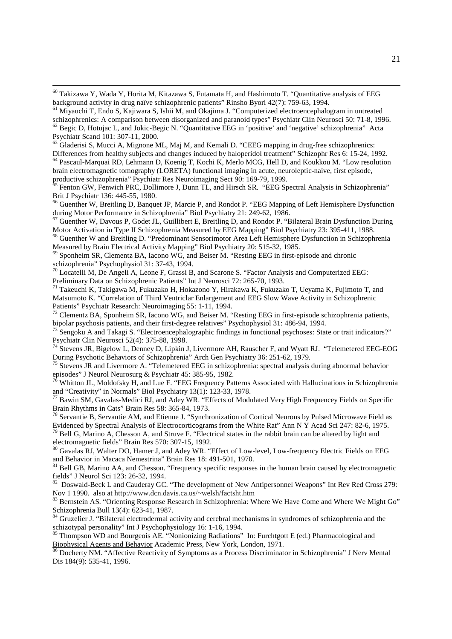$^{60}$  Takizawa Y, Wada Y, Horita M, Kitazawa S, Futamata H, and Hashimoto T. "Quantitative analysis of EEG background activity in drug naïve schizophrenic patients" Rinsho Byori 42(7): 759-63, 1994.

l

<sup>64</sup> Pascaul-Marquai RD, Lehmann D, Koenig T, Kochi K, Merlo MCG, Hell D, and Koukkou M. "Low resolution brain electromagnetic tomography (LORETA) functional imaging in acute, neuroleptic-naive, first episode, productive schizophrenia" Psychiatr Res Neuroimaging Sect 90: 169-79, 1999.

<sup>66</sup> Guenther W, Breitling D, Banquet JP, Marcie P, and Rondot P. "EEG Mapping of Left Hemisphere Dysfunction during Motor Performance in Schizophrenia" Biol Psychiatry 21: 249-62, 1986.

<sup>67</sup> Guenther W, Davous P, Godet JL, Guillibert E, Breitling D, and Rondot P. "Bilateral Brain Dysfunction During Motor Activation in Type II Schizophrenia Measured by EEG Mapping" Biol Psychiatry 23: 395-411, 1988.

<sup>68</sup> Guenther W and Breitling D. "Predominant Sensorimotor Area Left Hemisphere Dysfunction in Schizophrenia Measured by Brain Electrical Activity Mapping" Biol Psychiatry 20: 515-32, 1985.

 $<sup>69</sup>$  Sponheim SR, Clementz BA, Iacono WG, and Beiser M. "Resting EEG in first-episode and chronic</sup> schizophrenia" Psychophysiol 31: 37-43, 1994.

 $70$  Locatelli M, De Angeli A, Leone F, Grassi B, and Scarone S. "Factor Analysis and Computerized EEG: Preliminary Data on Schizophrenic Patients" Int J Neurosci 72: 265-70, 1993.

<sup>71</sup> Takeuchi K, Takigawa M, Fukuzako H, Hokazono Y, Hirakawa K, Fukuzako T, Ueyama K, Fujimoto T, and Matsumoto K. "Correlation of Third Ventriclar Enlargement and EEG Slow Wave Activity in Schizophrenic Patients" Psychiatr Research: Neuroimaging 55: 1-11, 1994.

<sup>72</sup> Clementz BA, Sponheim SR, Iacono WG, and Beiser M. "Resting EEG in first-episode schizophrenia patients, bipolar psychosis patients, and their first-degree relatives" Psychophysiol 31: 486-94, 1994.

Sengoku A and Takagi S. "Electroencephalographic findings in functional psychoses: State or trait indicators?" Psychiatr Clin Neurosci 52(4): 375-88, 1998.

<sup>74</sup> Stevens JR, Bigelow L, Denney D, Lipkin J, Livermore AH, Rauscher F, and Wyatt RJ. "Telemetered EEG-EOG During Psychotic Behaviors of Schizophrenia" Arch Gen Psychiatry 36: 251-62, 1979.

<sup>75</sup> Stevens JR and Livermore A. "Telemetered EEG in schizophrenia: spectral analysis during abnormal behavior episodes" J Neurol Neurosurg & Psychiatr 45: 385-95, 1982.

Whitton JL, Moldofsky H, and Lue F. "EEG Frequency Patterns Associated with Hallucinations in Schizophrenia and "Creativity" in Normals" Biol Psychiatry 13(1): 123-33, 1978.

<sup>77</sup> Bawin SM, Gavalas-Medici RJ, and Adey WR. "Effects of Modulated Very High Frequencey Fields on Specific Brain Rhythms in Cats" Brain Res 58: 365-84, 1973.

<sup>78</sup> Servantie B, Servantie AM, and Etienne J. "Synchronization of Cortical Neurons by Pulsed Microwave Field as Evidenced by Spectral Analysis of Electrocorticograms from the White Rat" Ann N Y Acad Sci 247: 82-6, 1975.

<sup>79</sup> Bell G, Marino A, Chesson A, and Struve F. "Electrical states in the rabbit brain can be altered by light and electromagnetic fields" Brain Res 570: 307-15, 1992.

<sup>80</sup> Gavalas RJ, Walter DO, Hamer J, and Adey WR. "Effect of Low-level, Low-frequency Electric Fields on EEG and Behavior in Macaca Nemestrina" Brain Res 18: 491-501, 1970.

<sup>81</sup> Bell GB, Marino AA, and Chesson. "Frequency specific responses in the human brain caused by electromagnetic fields" J Neurol Sci 123: 26-32, 1994.

<sup>82</sup> Doswald-Beck L and Cauderay GC. "The development of New Antipersonnel Weapons" Int Rev Red Cross 279: Nov 1 1990. also at http://www.dcn.davis.ca.us/~welsh/factsht.htm

83 Bernstein AS. "Orienting Response Research in Schizophrenia: Where We Have Come and Where We Might Go" Schizophrenia Bull 13(4): 623-41, 1987.

<sup>84</sup> Gruzelier J. "Bilateral electrodermal activity and cerebral mechanisms in syndromes of schizophrenia and the schizotypal personality" Int J Psychophysiology 16: 1-16, 1994.

<sup>85</sup> Thompson WD and Bourgeois AE. "Nonionizing Radiations" In: Furchtgott E (ed.) Pharmacological and Biophysical Agents and Behavior Academic Press, New York, London, 1971.

<sup>86</sup> Docherty NM. "Affective Reactivity of Symptoms as a Process Discriminator in Schizophrenia" J Nerv Mental Dis 184(9): 535-41, 1996.

<sup>61</sup> Miyauchi T, Endo S, Kajiwara S, Ishii M, and Okajima J. "Computerized electroencephalogram in untreated schizophrenics: A comparison between disorganized and paranoid types" Psychiatr Clin Neurosci 50: 71-8, 1996.

<sup>&</sup>lt;sup>62</sup> Begic D, Hotujac L, and Jokic-Begic N. "Quantitative EEG in 'positive' and 'negative' schizophrenia" Acta Psychiatr Scand 101: 307-11, 2000.

<sup>&</sup>lt;sup>63</sup> Gladerisi S, Mucci A, Mignone ML, Maj M, and Kemali D. "CEEG mapping in drug-free schizophrenics: Differences from healthy subjects and changes induced by haloperidol treatment" Schizophr Res 6: 15-24, 1992.

<sup>65</sup> Fenton GW, Fenwich PRC, Dollimore J, Dunn TL, and Hirsch SR. "EEG Spectral Analysis in Schizophrenia" Brit J Psychiatr 136: 445-55, 1980.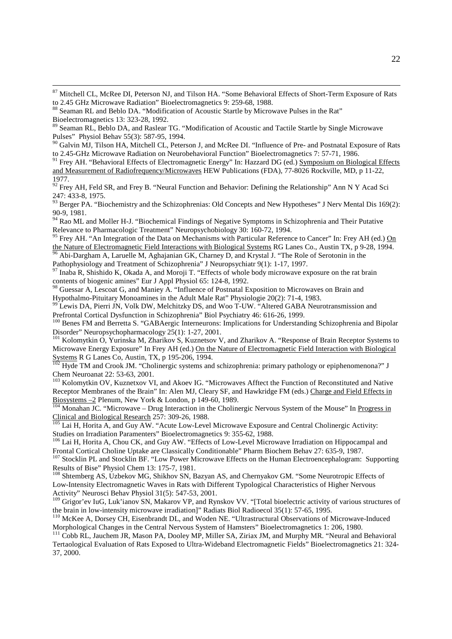<sup>89</sup> Seaman RL, Beblo DA, and Raslear TG. "Modification of Acoustic and Tactile Startle by Single Microwave Pulses" Physiol Behav 55(3): 587-95, 1994.

<sup>90</sup> Galvin MJ, Tilson HA, Mitchell CL, Peterson J, and McRee DI. "Influence of Pre- and Postnatal Exposure of Rats to 2.45-GHz Microwave Radiation on Neurobehavioral Function" Bioelectromagnetics 7: 57-71, 1986.

<sup>91</sup> Frey AH. "Behavioral Effects of Electromagnetic Energy" In: Hazzard DG (ed.) Symposium on Biological Effects and Measurement of Radiofrequency/Microwaves HEW Publications (FDA), 77-8026 Rockville, MD, p 11-22, 1977.

<sup>92</sup> Frey AH, Feld SR, and Frey B. "Neural Function and Behavior: Defining the Relationship" Ann N Y Acad Sci 247: 433-8, 1975.

<sup>93</sup> Berger PA. "Biochemistry and the Schizophrenias: Old Concepts and New Hypotheses" J Nerv Mental Dis 169(2): 90-9, 1981.

94 Rao ML and Moller H-J. "Biochemical Findings of Negative Symptoms in Schizophrenia and Their Putative Relevance to Pharmacologic Treatment" Neuropsychobiology 30: 160-72, 1994.

<sup>95</sup> Frey AH. "An Integration of the Data on Mechanisms with Particular Reference to Cancer" In: Frey AH (ed.) On the Nature of Electromagnetic Field Interactions with Biological Systems RG Lanes Co., Austin TX, p 9-28, 1994.

Abi-Dargham A, Laruelle M, Aghajanian GK, Charney D, and Krystal J. "The Role of Serotonin in the Pathophysiology and Treatment of Schizophrenia" J Neuropsychiatr 9(1): 1-17, 1997.

<sup>97</sup> Inaba R, Shishido K, Okada A, and Moroji T. "Effects of whole body microwave exposure on the rat brain contents of biogenic amines" Eur J Appl Physiol 65: 124-8, 1992.

98 Guessar A, Lescoat G, and Maniey A. "Influence of Postnatal Exposition to Microwaves on Brain and Hypothalmo-Pituitary Monoamines in the Adult Male Rat" Physiologie 20(2): 71-4, 1983.

<sup>99</sup> Lewis DA, Pierri JN, Volk DW, Melchitzky DS, and Woo T-UW. "Altered GABA Neurotransmission and Prefrontal Cortical Dysfunction in Schizophrenia" Biol Psychiatry 46: 616-26, 1999.

<sup>100</sup> Benes FM and Berretta S. "GABAergic Interneurons: Implications for Understanding Schizophrenia and Bipolar Disorder" Neuropsychopharmacology 25(1): 1-27, 2001.

<sup>101</sup> Kolomytkin O, Yurinska M, Zharikov S, Kuznetsov V, and Zharikov A. "Response of Brain Receptor Systems to Microwave Energy Exposure" In Frey AH (ed.) On the Nature of Electromagnetic Field Interaction with Biological Systems R G Lanes Co, Austin, TX, p 195-206, 1994.

<sup>102</sup> Hyde TM and Crook JM. "Cholinergic systems and schizophrenia: primary pathology or epiphenomenona?" J Chem Neuroanat 22: 53-63, 2001.

<sup>103</sup> Kolomytkin OV, Kuznetxov VI, and Akoev IG. "Microwaves Afftect the Function of Reconstituted and Native Receptor Membranes of the Brain" In: Alen MJ, Cleary SF, and Hawkridge FM (eds.) Charge and Field Effects in Biosystems –2 Plenum, New York & London, p 149-60, 1989.

 $104$  Monahan JC. "Microwave – Drug Interaction in the Cholinergic Nervous System of the Mouse" In Progress in Clinical and Biological Research 257: 309-26, 1988.

 $\frac{105}{105}$  Lai H, Horita A, and Guy AW. "Acute Low-Level Microwave Exposure and Central Cholinergic Activity: Studies on Irradiation Paramenters" Bioelectromagnetics 9: 355-62, 1988.

<sup>106</sup> Lai H, Horita A, Chou CK, and Guy AW. "Effects of Low-Level Microwave Irradiation on Hippocampal and Frontal Cortical Choline Uptake are Classically Conditionable" Pharm Biochem Behav 27: 635-9, 1987.

<sup>107</sup> Stocklin PL and Stocklin BF. "Low Power Microwave Effects on the Human Electroencephalogram: Supporting Results of Bise" Physiol Chem 13: 175-7, 1981.

<sup>108</sup> Shtemberg AS, Uzbekov MG, Shikhov SN, Bazyan AS, and Chernyakov GM. "Some Neurotropic Effects of Low-Intensity Electromagnetic Waves in Rats with Different Typological Characteristics of Higher Nervous Activity" Neurosci Behav Physiol 31(5): 547-53, 2001.

<sup>109</sup> Grigor'ev IuG, Luk'ianov SN, Makarov VP, and Rynskov VV. "[Total bioelectric activity of various structures of the brain in low-intensity microwave irradiation]" Radiats Biol Radioecol 35(1): 57-65, 1995.

<sup>110</sup> McKee A, Dorsey CH, Eisenbrandt DL, and Woden NE. "Ultrastructural Observations of Microwave-Induced Morphological Changes in the Central Nervous System of Hamsters" Bioelectromagnetics 1: 206, 1980.

<sup>111</sup> Cobb RL, Jauchem JR, Mason PA, Dooley MP, Miller SA, Ziriax JM, and Murphy MR. "Neural and Behavioral Tertaological Evaluation of Rats Exposed to Ultra-Wideband Electromagnetic Fields" Bioelectromagnetics 21: 324- 37, 2000.

<sup>&</sup>lt;sup>87</sup> Mitchell CL, McRee DI, Peterson NJ, and Tilson HA. "Some Behavioral Effects of Short-Term Exposure of Rats to 2.45 GHz Microwave Radiation" Bioelectromagnetics 9: 259-68, 1988.

<sup>88</sup> Seaman RL and Beblo DA. "Modification of Acoustic Startle by Microwave Pulses in the Rat"

Bioelectromagnetics 13: 323-28, 1992.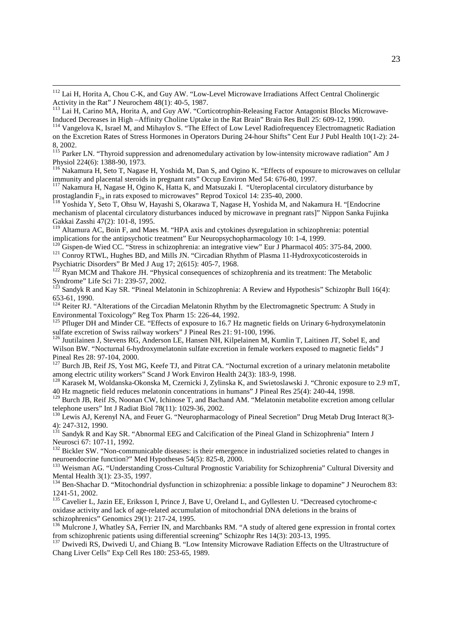<sup>112</sup> Lai H, Horita A, Chou C-K, and Guy AW. "Low-Level Microwave Irradiations Affect Central Cholinergic Activity in the Rat" J Neurochem 48(1): 40-5, 1987.

l

<sup>113</sup> Lai H, Carino MA, Horita A, and Guy AW. "Corticotrophin-Releasing Factor Antagonist Blocks Microwave-Induced Decreases in High –Affinity Choline Uptake in the Rat Brain" Brain Res Bull 25: 609-12, 1990.

<sup>114</sup> Vangelova K, Israel M, and Mihaylov S. "The Effect of Low Level Radiofrequencey Electromagnetic Radiation on the Excretion Rates of Stress Hormones in Operators During 24-hour Shifts" Cent Eur J Publ Health 10(1-2): 24- 8, 2002.

<sup>115</sup> Parker LN. "Thyroid suppression and adrenomedulary activation by low-intensity microwave radiation" Am J Physiol 224(6): 1388-90, 1973.

<sup>116</sup> Nakamura H, Seto T, Nagase H, Yoshida M, Dan S, and Ogino K. "Effects of exposure to microwaves on cellular immunity and placental steroids in pregnant rats" Occup Environ Med 54: 676-80, 1997.

<sup>117</sup> Nakamura H, Nagase H, Ogino K, Hatta K, and Matsuzaki I. "Uteroplacental circulatory disturbance by prostaglandin  $F_{2\alpha}$  in rats exposed to microwaves" Reprod Toxicol 14: 235-40, 2000.

<sup>118</sup> Yoshida Y, Seto T, Ohsu W, Hayashi S, Okarawa T, Nagase H, Yoshida M, and Nakamura H. "[Endocrine mechanism of placental circulatory disturbances induced by microwave in pregnant rats]" Nippon Sanka Fujinka Gakkai Zasshi 47(2): 101-8, 1995.

<sup>119</sup> Altamura AC, Boin F, and Maes M. "HPA axis and cytokines dysregulation in schizophrenia: potential implications for the antipsychotic treatment" Eur Neuropsychopharmacology 10: 1-4, 1999.

<sup>120</sup> Gispen-de Wied CC. "Stress in schizophrenia: an integrative view" Eur J Pharmacol 405: 375-84, 2000. <sup>121</sup> Conroy RTWL, Hughes BD, and Mills JN. "Circadian Rhythm of Plasma 11-Hydroxycoticosteroids in Psychiatric Disorders" Br Med J Aug 17; 2(615): 405-7, 1968.

<sup>122</sup> Ryan MCM and Thakore JH. "Physical consequences of schizophrenia and its treatment: The Metabolic Syndrome" Life Sci 71: 239-57, 2002.

<sup>123</sup> Sandyk R and Kay SR. "Pineal Melatonin in Schizophrenia: A Review and Hypothesis" Schizophr Bull 16(4): 653-61, 1990.

<sup>124</sup> Reiter RJ. "Alterations of the Circadian Melatonin Rhythm by the Electromagnetic Spectrum: A Study in Environmental Toxicology" Reg Tox Pharm 15: 226-44, 1992.

<sup>125</sup> Pfluger DH and Minder CE. "Effects of exposure to 16.7 Hz magnetic fields on Urinary 6-hydroxymelatonin sulfate excretion of Swiss railway workers" J Pineal Res 21: 91-100, 1996.

<sup>126</sup> Juutilainen J, Stevens RG, Anderson LE, Hansen NH, Kilpelainen M, Kumlin T, Laitinen JT, Sobel E, and Wilson BW. "Nocturnal 6-hydroxymelatonin sulfate excretion in female workers exposed to magnetic fields" J Pineal Res 28: 97-104, 2000.

<sup>127</sup> Burch JB, Reif JS, Yost MG, Keefe TJ, and Pitrat CA. "Nocturnal excretion of a urinary melatonin metabolite among electric utility workers" Scand J Work Environ Health 24(3): 183-9, 1998.

<sup>128</sup> Karasek M, Woldanska-Okonska M, Czernicki J, Zylinska K, and Swietoslawski J. "Chronic exposure to 2.9 mT, 40 Hz magnetic field reduces melatonin concentrations in humans" J Pineal Res 25(4): 240-44, 1998.

<sup>129</sup> Burch JB, Reif JS, Noonan CW, Ichinose T, and Bachand AM. "Melatonin metabolite excretion among cellular telephone users" Int J Radiat Biol 78(11): 1029-36, 2002.

<sup>130</sup> Lewis AJ, Kerenyl NA, and Feuer G. "Neuropharmacology of Pineal Secretion" Drug Metab Drug Interact 8(3-4): 247-312, 1990.

<sup>131</sup> Sandyk R and Kay SR. "Abnormal EEG and Calcification of the Pineal Gland in Schizophrenia" Intern J Neurosci 67: 107-11, 1992.

<sup>132</sup> Bickler SW. "Non-communicable diseases: is their emergence in industrialized societies related to changes in neuroendocrine function?" Med Hypotheses 54(5): 825-8, 2000.

<sup>133</sup> Weisman AG. "Understanding Cross-Cultural Prognostic Variability for Schizophrenia" Cultural Diversity and Mental Health 3(1): 23-35, 1997.

<sup>134</sup> Ben-Shachar D. "Mitochondrial dysfunction in schizophrenia: a possible linkage to dopamine" J Neurochem 83: 1241-51, 2002.

<sup>135</sup> Cavelier L, Jazin EE, Eriksson I, Prince J, Bave U, Oreland L, and Gyllesten U. "Decreased cytochrome-c oxidase activity and lack of age-related accumulation of mitochondrial DNA deletions in the brains of schizophrenics" Genomics 29(1): 217-24, 1995.

<sup>136</sup> Mulcrone J, Whatley SA, Ferrier IN, and Marchbanks RM. "A study of altered gene expression in frontal cortex from schizophrenic patients using differential screening" Schizophr Res 14(3): 203-13, 1995.

<sup>137</sup> Dwivedi RS, Dwivedi U, and Chiang B. "Low Intensity Microwave Radiation Effects on the Ultrastructure of Chang Liver Cells" Exp Cell Res 180: 253-65, 1989.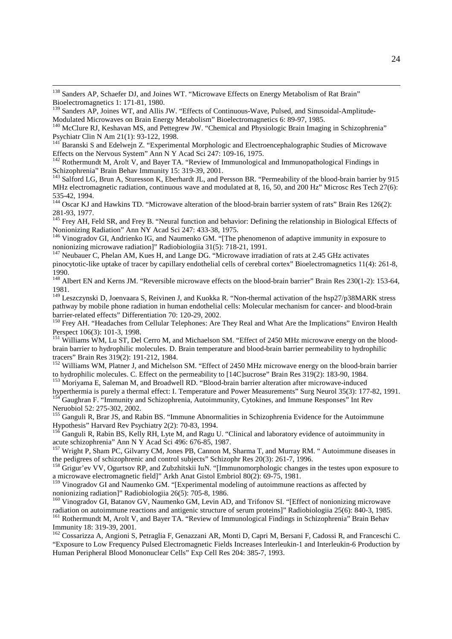<sup>138</sup> Sanders AP, Schaefer DJ, and Joines WT. "Microwave Effects on Energy Metabolism of Rat Brain" Bioelectromagnetics 1: 171-81, 1980.

l

<sup>139</sup> Sanders AP, Joines WT, and Allis JW. "Effects of Continuous-Wave, Pulsed, and Sinusoidal-Amplitude-Modulated Microwaves on Brain Energy Metabolism" Bioelectromagnetics 6: 89-97, 1985.

<sup>140</sup> McClure RJ, Keshavan MS, and Pettegrew JW. "Chemical and Physiologic Brain Imaging in Schizophrenia" Psychiatr Clin N Am 21(1): 93-122, 1998.

<sup>141</sup> Baranski S and Edelwejn Z. "Experimental Morphologic and Electroencephalographic Studies of Microwave Effects on the Nervous System" Ann N Y Acad Sci 247: 109-16, 1975.

<sup>142</sup> Rothermundt M, Arolt V, and Bayer TA. "Review of Immunological and Immunopathological Findings in Schizophrenia" Brain Behav Immunity 15: 319-39, 2001.

<sup>143</sup> Salford LG, Brun A, Sturesson K, Eberhardt JL, and Persson BR. "Permeability of the blood-brain barrier by 915 MHz electromagnetic radiation, continuous wave and modulated at 8, 16, 50, and 200 Hz" Microsc Res Tech 27(6): 535-42, 1994.

<sup>144</sup> Oscar KJ and Hawkins TD. "Microwave alteration of the blood-brain barrier system of rats" Brain Res 126(2): 281-93, 1977.

<sup>145</sup> Frey AH, Feld SR, and Frey B. "Neural function and behavior: Defining the relationship in Biological Effects of Nonionizing Radiation" Ann NY Acad Sci 247: 433-38, 1975.

<sup>146</sup> Vinogradov GI, Andrienko IG, and Naumenko GM. "[The phenomenon of adaptive immunity in exposure to nonionizing microwave radiation]" Radiobiologiia 31(5): 718-21, 1991.

<sup>147</sup> Neubauer C, Phelan AM, Kues H, and Lange DG. "Microwave irradiation of rats at 2.45 GHz activates pinocytotic-like uptake of tracer by capillary endothelial cells of cerebral cortex" Bioelectromagnetics 11(4): 261-8, 1990.

<sup>148</sup> Albert EN and Kerns JM. "Reversible microwave effects on the blood-brain barrier" Brain Res 230(1-2): 153-64, 1981.

<sup>149</sup> Leszczynski D, Joenvaara S, Reivinen J, and Kuokka R. "Non-thermal activation of the hsp27/p38MARK stress pathway by mobile phone radiation in human endothelial cells: Molecular mechanism for cancer- and blood-brain barrier-related effects" Differentiation 70: 120-29, 2002.

<sup>150</sup> Frey AH. "Headaches from Cellular Telephones: Are They Real and What Are the Implications" Environ Health Perspect 106(3): 101-3, 1998.

<sup>151</sup> Williams WM, Lu ST, Del Cerro M, and Michaelson SM. "Effect of 2450 MHz microwave energy on the bloodbrain barrier to hydrophilic molecules. D. Brain temperature and blood-brain barrier permeability to hydrophilic tracers" Brain Res 319(2): 191-212, 1984.

<sup>152</sup> Williams WM, Platner J, and Michelson SM. "Effect of 2450 MHz microwave energy on the blood-brain barrier to hydrophilic molecules. C. Effect on the permeability to [14C]sucrose" Brain Res 319(2): 183-90, 1984.

<sup>153</sup> Moriyama E, Saleman M, and Broadwell RD. "Blood-brain barrier alteration after microwave-induced hyperthermia is purely a thermal effect: I. Temperature and Power Measurements" Surg Neurol 35(3): 177-82, 1991.

<sup>1</sup> Gaughran F. "Immunity and Schizophrenia, Autoimmunity, Cytokines, and Immune Responses" Int Rev Neruobiol 52: 275-302, 2002.

<sup>155</sup> Ganguli R, Brar JS, and Rabin BS. "Immune Abnormalities in Schizophrenia Evidence for the Autoimmune Hypothesis" Harvard Rev Psychiatry 2(2): 70-83, 1994.

<sup>156</sup> Ganguli R, Rabin BS, Kelly RH, Lyte M, and Ragu U. "Clinical and laboratory evidence of autoimmunity in acute schizophrenia" Ann N Y Acad Sci 496: 676-85, 1987.

<sup>157</sup> Wright P, Sham PC, Gilvarry CM, Jones PB, Cannon M, Sharma T, and Murray RM. "Autoimmune diseases in the pedigrees of schizophrenic and control subjects" Schizophr Res 20(3): 261-7, 1996.

<sup>158</sup> Grigur'ev VV, Ogurtsov RP, and Zubzhitskii IuN. "[Immunomorphologic changes in the testes upon exposure to a microwave electromagnetic field]" Arkh Anat Gistol Embriol 80(2): 69-75, 1981.

<sup>159</sup> Vinogradov GI and Naumenko GM. "[Experimental modeling of autoimmune reactions as affected by nonionizing radiation]" Radiobiologiia 26(5): 705-8, 1986.

<sup>160</sup> Vinogradov GI, Batanov GV, Naumenko GM, Levin AD, and Trifonov SI. "[Effect of nonionizing microwave radiation on autoimmune reactions and antigenic structure of serum proteins]" Radiobiologiia 25(6): 840-3, 1985.

<sup>161</sup> Rothermundt M, Arolt V, and Bayer TA. "Review of Immunological Findings in Schizophrenia" Brain Behav Immunity 18: 319-39, 2001.

<sup>162</sup> Cossarizza A, Angioni S, Petraglia F, Genazzani AR, Monti D, Capri M, Bersani F, Cadossi R, and Franceschi C. "Exposure to Low Frequency Pulsed Electromagnetic Fields Increases Interleukin-1 and Interleukin-6 Production by Human Peripheral Blood Mononuclear Cells" Exp Cell Res 204: 385-7, 1993.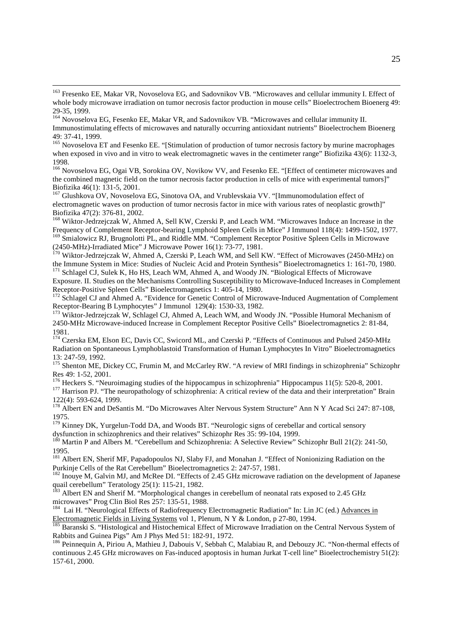<sup>166</sup> Novoselova EG, Ogai VB, Sorokina OV, Novikow VV, and Fesenko EE. "[Effect of centimeter microwaves and the combined magnetic field on the tumor necrosis factor production in cells of mice with experimental tumors]" Biofizika 46(1): 131-5, 2001.

<sup>167</sup> Glushkova OV, Novoselova EG, Sinotova OA, and Vrublevskaia VV. "[Immunomodulation effect of electromagnetic waves on production of tumor necrosis factor in mice with various rates of neoplastic growth]" Biofizika 47(2): 376-81, 2002.

<sup>168</sup> Wiktor-Jedrzejczak W, Ahmed A, Sell KW, Czerski P, and Leach WM. "Microwaves Induce an Increase in the Frequency of Complement Receptor-bearing Lymphoid Spleen Cells in Mice" J Immunol 118(4): 1499-1502, 1977. <sup>169</sup> Smialowicz RJ, Brugnolotti PL, and Riddle MM. "Complement Receptor Positive Spleen Cells in Microwave

(2450-MHz)-Irradiated Mice" J Microwave Power 16(1): 73-77, 1981.

<sup>170</sup> Wiktor-Jedrzejczak W, Ahmed A, Czerski P, Leach WM, and Sell KW. "Effect of Microwaves (2450-MHz) on the Immune System in Mice: Studies of Nucleic Acid and Protein Synthesis" Bioelectromagnetics 1: 161-70, 1980.

<sup>171</sup> Schlagel CJ, Sulek K, Ho HS, Leach WM, Ahmed A, and Woody JN. "Biological Effects of Microwave Exposure. II. Studies on the Mechanisms Controlling Susceptibility to Microwave-Induced Increases in Complement Receptor-Positive Spleen Cells" Bioelectromagnetics 1: 405-14, 1980.

<sup>172</sup> Schlagel CJ and Ahmed A. "Evidence for Genetic Control of Microwave-Induced Augmentation of Complement Receptor-Bearing B Lymphocytes" J Immunol 129(4): 1530-33, 1982.

<sup>173</sup> Wiktor-Jedrzejczak W, Schlagel CJ, Ahmed A, Leach WM, and Woody JN. "Possible Humoral Mechanism of 2450-MHz Microwave-induced Increase in Complement Receptor Positive Cells" Bioelectromagnetics 2: 81-84, 1981.

<sup>174</sup> Czerska EM, Elson EC, Davis CC, Swicord ML, and Czerski P. "Effects of Continuous and Pulsed 2450-MHz Radiation on Spontaneous Lymphoblastoid Transformation of Human Lymphocytes In Vitro" Bioelectromagnetics 13: 247-59, 1992.

<sup>175</sup> Shenton ME, Dickey CC, Frumin M, and McCarley RW. "A review of MRI findings in schizophrenia" Schizophr Res 49: 1-52, 2001.

<sup>176</sup> Heckers S. "Neuroimaging studies of the hippocampus in schizophrenia" Hippocampus 11(5): 520-8, 2001.

<sup>177</sup> Harrison PJ. "The neuropathology of schizophrenia: A critical review of the data and their interpretation" Brain 122(4): 593-624, 1999.

<sup>178</sup> Albert EN and DeSantis M. "Do Microwaves Alter Nervous System Structure" Ann N Y Acad Sci 247: 87-108, 1975.

<sup>179</sup> Kinney DK, Yurgelun-Todd DA, and Woods BT. "Neurologic signs of cerebellar and cortical sensory dysfunction in schizophrenics and their relatives" Schizophr Res 35: 99-104, 1999.

<sup>180</sup> Martin P and Albers M. "Cerebellum and Schizophrenia: A Selective Review" Schizophr Bull 21(2): 241-50, 1995.

<sup>181</sup> Albert EN, Sherif MF, Papadopoulos NJ, Slaby FJ, and Monahan J. "Effect of Nonionizing Radiation on the Purkinje Cells of the Rat Cerebellum" Bioelectromagnetics 2: 247-57, 1981.

<sup>182</sup> Inouye M, Galvin MJ, and McRee DI. "Effects of 2.45 GHz microwave radiation on the development of Japanese quail cerebellum" Teratology 25(1): 115-21, 1982.

<sup>183</sup> Albert EN and Sherif M. "Morphological changes in cerebellum of neonatal rats exposed to 2.45 GHz microwaves" Prog Clin Biol Res 257: 135-51, 1988.

<sup>184</sup> Lai H. "Neurological Effects of Radiofrequency Electromagnetic Radiation" In: Lin JC (ed.) Advances in Electromagnetic Fields in Living Systems vol 1, Plenum, N Y & London, p 27-80, 1994.

<sup>185</sup> Baranski S. "Histological and Histochemical Effect of Microwave Irradiation on the Central Nervous System of Rabbits and Guinea Pigs" Am J Phys Med 51: 182-91, 1972.

<sup>186</sup> Peinnequin A, Piriou A, Mathieu J, Dabouis V, Sebbah C, Malabiau R, and Debouzy JC. "Non-thermal effects of continuous 2.45 GHz microwaves on Fas-induced apoptosis in human Jurkat T-cell line" Bioelectrochemistry 51(2): 157-61, 2000.

<sup>&</sup>lt;sup>163</sup> Fresenko EE, Makar VR, Novoselova EG, and Sadovnikov VB. "Microwaves and cellular immunity I. Effect of whole body microwave irradiation on tumor necrosis factor production in mouse cells" Bioelectrochem Bioenerg 49: 29-35, 1999.

<sup>&</sup>lt;sup>164</sup> Novoselova EG, Fesenko EE, Makar VR, and Sadovnikov VB. "Microwaves and cellular immunity II. Immunostimulating effects of microwaves and naturally occurring antioxidant nutrients" Bioelectrochem Bioenerg 49: 37-41, 1999.

<sup>&</sup>lt;sup>165</sup> Novoselova ET and Fesenko EE. "[Stimulation of production of tumor necrosis factory by murine macrophages when exposed in vivo and in vitro to weak electromagnetic waves in the centimeter range" Biofizika 43(6): 1132-3, 1998.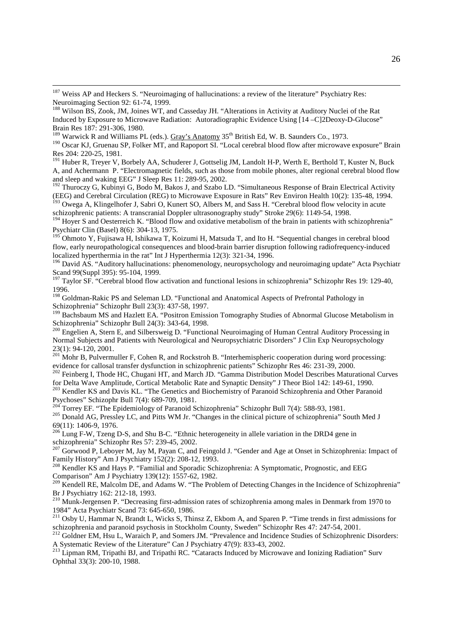<sup>190</sup> Oscar KJ, Gruenau SP, Folker MT, and Rapoport SI. "Local cerebral blood flow after microwave exposure" Brain Res 204: 220-25, 1981.

<sup>191</sup> Huber R, Treyer V, Borbely AA, Schuderer J, Gottselig JM, Landolt H-P, Werth E, Berthold T, Kuster N, Buck A, and Achermann P. "Electromagnetic fields, such as those from mobile phones, alter regional cerebral blood flow and sleep and waking EEG" J Sleep Res 11: 289-95, 2002.

<sup>192</sup> Thuroczy G, Kubinyi G, Bodo M, Bakos J, and Szabo LD. "Simultaneous Response of Brain Electrical Activity (EEG) and Cerebral Circulation (REG) to Microwave Exposure in Rats" Rev Environ Health 10(2): 135-48, 1994.

<sup>193</sup> Owega A, Klingelhofer J, Sabri O, Kunert SO, Albers M, and Sass H. "Cerebral blood flow velocity in acute schizophrenic patients: A transcranial Doppler ultrasonography study" Stroke 29(6): 1149-54, 1998.

<sup>194</sup> Hoyer S and Oesterreich K. "Blood flow and oxidative metabolism of the brain in patients with schizophrenia" Psychiatr Clin (Basel) 8(6): 304-13, 1975.

<sup>195</sup> Ohmoto Y, Fujisawa H, Ishikawa T, Koizumi H, Matsuda T, and Ito H. "Sequential changes in cerebral blood flow, early neuropathological consequences and blood-brain barrier disruption following radiofrequency-induced localized hyperthermia in the rat" Int J Hyperthermia 12(3): 321-34, 1996.

<sup>196</sup> David AS. "Auditory hallucinations: phenomenology, neuropsychology and neuroimaging update" Acta Psychiatr Scand 99(Suppl 395): 95-104, 1999.

<sup>197</sup> Taylor SF. "Cerebral blood flow activation and functional lesions in schizophrenia" Schizophr Res 19: 129-40, 1996.

<sup>198</sup> Goldman-Rakic PS and Seleman LD. "Functional and Anatomical Aspects of Prefrontal Pathology in Schizophrenia" Schizophr Bull 23(3): 437-58, 1997.

<sup>199</sup> Bachsbaum MS and Hazlett EA. "Positron Emission Tomography Studies of Abnormal Glucose Metabolism in Schizophrenia" Schizophr Bull 24(3): 343-64, 1998.

<sup>200</sup> Engelien A, Stern E, and Silbersweig D. "Functional Neuroimaging of Human Central Auditory Processing in Normal Subjects and Patients with Neurological and Neuropsychiatric Disorders" J Clin Exp Neuropsychology 23(1): 94-120, 2001.

 $^{201}$  Mohr B, Pulvermuller F, Cohen R, and Rockstroh B. "Interhemispheric cooperation during word processing: evidence for callosal transfer dysfunction in schizophrenic patients" Schizophr Res 46: 231-39, 2000.

<sup>202</sup> Feinberg I, Thode HC, Chugani HT, and March JD. "Gamma Distribution Model Describes Maturational Curves for Delta Wave Amplitude, Cortical Metabolic Rate and Synaptic Density" J Theor Biol 142: 149-61, 1990.

<sup>203</sup> Kendler KS and Davis KL. "The Genetics and Biochemistry of Paranoid Schizophrenia and Other Paranoid Psychoses" Schizophr Bull 7(4): 689-709, 1981.

Torrey EF. "The Epidemiology of Paranoid Schizophrenia" Schizophr Bull 7(4): 588-93, 1981.

<sup>205</sup> Donald AG, Pressley LC, and Pitts WM Jr. "Changes in the clinical picture of schizophrenia" South Med J 69(11): 1406-9, 1976.

<sup>206</sup> Lung F-W, Tzeng D-S, and Shu B-C. "Ethnic heterogeneity in allele variation in the DRD4 gene in schizophrenia" Schizophr Res 57: 239-45, 2002.

<sup>207</sup> Gorwood P, Leboyer M, Jay M, Payan C, and Feingold J. "Gender and Age at Onset in Schizophrenia: Impact of Family History" Am J Psychiatry 152(2): 208-12, 1993.

<sup>208</sup> Kendler KS and Hays P. "Familial and Sporadic Schizophrenia: A Symptomatic, Prognostic, and EEG Comparison" Am J Psychiatry 139(12): 1557-62, 1982.

<sup>209</sup> Kendell RE, Malcolm DE, and Adams W. "The Problem of Detecting Changes in the Incidence of Schizophrenia" Br J Psychiatry 162: 212-18, 1993.

<sup>210</sup> Munk-Jergensen P. "Decreasing first-admission rates of schizophrenia among males in Denmark from 1970 to 1984" Acta Psychiatr Scand 73: 645-650, 1986.

<sup>211</sup> Osby U, Hammar N, Brandt L, Wicks S, Thinsz Z, Ekbom A, and Sparen P. "Time trends in first admissions for schizophrenia and paranoid psychosis in Stockholm County, Sweden" Schizophr Res 47: 247-54, 2001.

<sup>212</sup> Goldner EM, Hsu L, Waraich P, and Somers JM. "Prevalence and Incidence Studies of Schizophrenic Disorders: A Systematic Review of the Literature" Can J Psychiatry 47(9): 833-43, 2002.

<sup>213</sup> Lipman RM, Tripathi BJ, and Tripathi RC. "Cataracts Induced by Microwave and Ionizing Radiation" Surv Ophthal 33(3): 200-10, 1988.

<sup>&</sup>lt;sup>187</sup> Weiss AP and Heckers S. "Neuroimaging of hallucinations: a review of the literature" Psychiatry Res: Neuroimaging Section 92: 61-74, 1999.

<sup>188</sup> Wilson BS, Zook, JM, Joines WT, and Casseday JH. "Alterations in Activity at Auditory Nuclei of the Rat Induced by Exposure to Microwave Radiation: Autoradiographic Evidence Using [14 –C]2Deoxy-D-Glucose" Brain Res 187: 291-306, 1980.

<sup>&</sup>lt;sup>189</sup> Warwick R and Williams PL (eds.). Gray's Anatomy  $35<sup>th</sup>$  British Ed, W. B. Saunders Co., 1973.